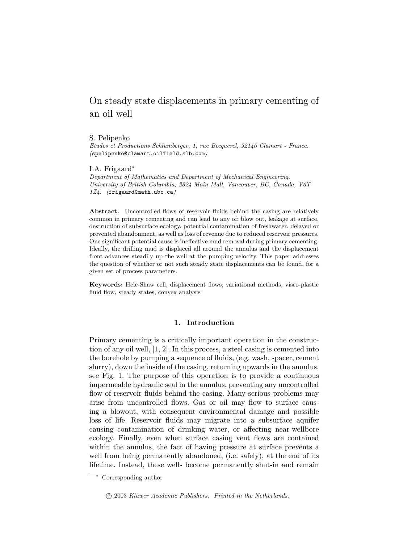# On steady state displacements in primary cementing of an oil well

## S. Pelipenko

Etudes et Productions Schlumberger, 1, rue Becquerel, 92140 Clamart - France. (spelipenko@clamart.oilfield.slb.com)

## I.A. Frigaard<sup>∗</sup>

Department of Mathematics and Department of Mechanical Engineering, University of British Columbia, 2324 Main Mall, Vancouver, BC, Canada, V6T 1Z4. (frigaard@math.ubc.ca)

Abstract. Uncontrolled flows of reservoir fluids behind the casing are relatively common in primary cementing and can lead to any of: blow out, leakage at surface, destruction of subsurface ecology, potential contamination of freshwater, delayed or prevented abandonment, as well as loss of revenue due to reduced reservoir pressures. One significant potential cause is ineffective mud removal during primary cementing. Ideally, the drilling mud is displaced all around the annulus and the displacement front advances steadily up the well at the pumping velocity. This paper addresses the question of whether or not such steady state displacements can be found, for a given set of process parameters.

Keywords: Hele-Shaw cell, displacement flows, variational methods, visco-plastic fluid flow, steady states, convex analysis

## 1. Introduction

Primary cementing is a critically important operation in the construction of any oil well, [1, 2]. In this process, a steel casing is cemented into the borehole by pumping a sequence of fluids, (e.g. wash, spacer, cement slurry), down the inside of the casing, returning upwards in the annulus, see Fig. 1. The purpose of this operation is to provide a continuous impermeable hydraulic seal in the annulus, preventing any uncontrolled flow of reservoir fluids behind the casing. Many serious problems may arise from uncontrolled flows. Gas or oil may flow to surface causing a blowout, with consequent environmental damage and possible loss of life. Reservoir fluids may migrate into a subsurface aquifer causing contamination of drinking water, or affecting near-wellbore ecology. Finally, even when surface casing vent flows are contained within the annulus, the fact of having pressure at surface prevents a well from being permanently abandoned, (i.e. safely), at the end of its lifetime. Instead, these wells become permanently shut-in and remain

<sup>∗</sup> Corresponding author

<sup>°</sup>c 2003 Kluwer Academic Publishers. Printed in the Netherlands.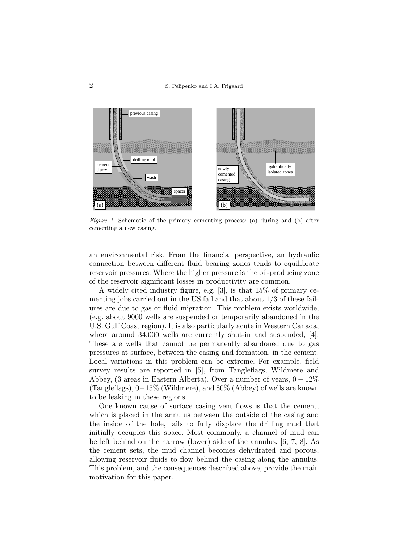

Figure 1. Schematic of the primary cementing process: (a) during and (b) after cementing a new casing.

an environmental risk. From the financial perspective, an hydraulic connection between different fluid bearing zones tends to equilibrate reservoir pressures. Where the higher pressure is the oil-producing zone of the reservoir significant losses in productivity are common.

A widely cited industry figure, e.g. [3], is that 15% of primary cementing jobs carried out in the US fail and that about 1/3 of these failures are due to gas or fluid migration. This problem exists worldwide, (e.g. about 9000 wells are suspended or temporarily abandoned in the U.S. Gulf Coast region). It is also particularly acute in Western Canada, where around 34,000 wells are currently shut-in and suspended, [4]. These are wells that cannot be permanently abandoned due to gas pressures at surface, between the casing and formation, in the cement. Local variations in this problem can be extreme. For example, field survey results are reported in [5], from Tangleflags, Wildmere and Abbey, (3 areas in Eastern Alberta). Over a number of years,  $0-12\%$ (Tangleflags), 0−15% (Wildmere), and 80% (Abbey) of wells are known to be leaking in these regions.

One known cause of surface casing vent flows is that the cement, which is placed in the annulus between the outside of the casing and the inside of the hole, fails to fully displace the drilling mud that initially occupies this space. Most commonly, a channel of mud can be left behind on the narrow (lower) side of the annulus, [6, 7, 8]. As the cement sets, the mud channel becomes dehydrated and porous, allowing reservoir fluids to flow behind the casing along the annulus. This problem, and the consequences described above, provide the main motivation for this paper.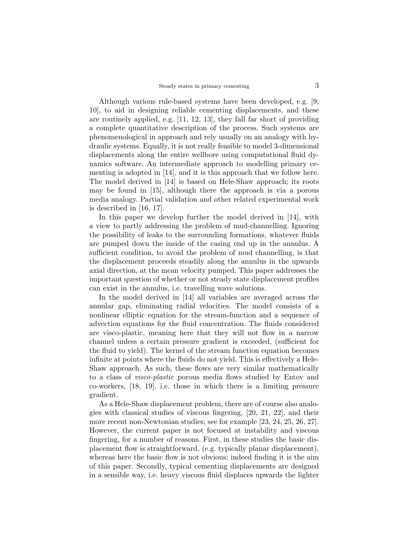Although various rule-based systems have been developed, e.g. [9, 10], to aid in designing reliable cementing displacements, and these are routinely applied, e.g. [11, 12, 13], they fall far short of providing a complete quantitative description of the process. Such systems are phenomenological in approach and rely usually on an analogy with hydraulic systems. Equally, it is not really feasible to model 3-dimensional displacements along the entire wellbore using computational fluid dynamics software. An intermediate approach to modelling primary cementing is adopted in [14], and it is this approach that we follow here. The model derived in [14] is based on Hele-Shaw approach; its roots may be found in [15], although there the approach is via a porous media analogy. Partial validation and other related experimental work is described in [16, 17].

In this paper we develop further the model derived in [14], with a view to partly addressing the problem of mud-channelling. Ignoring the possibility of leaks to the surrounding formations, whatever fluids are pumped down the inside of the casing end up in the annulus. A sufficient condition, to avoid the problem of mud channelling, is that the displacement proceeds steadily along the annulus in the upwards axial direction, at the mean velocity pumped. This paper addresses the important question of whether or not steady state displacement profiles can exist in the annulus, i.e. travelling wave solutions.

In the model derived in [14] all variables are averaged across the annular gap, eliminating radial velocities. The model consists of a nonlinear elliptic equation for the stream-function and a sequence of advection equations for the fluid concentration. The fluids considered are visco-plastic, meaning here that they will not flow in a narrow channel unless a certain pressure gradient is exceeded, (sufficient for the fluid to yield). The kernel of the stream function equation becomes infinite at points where the fluids do not yield. This is effectively a Hele-Shaw approach. As such, these flows are very similar mathematically to a class of visco-plastic porous media flows studied by Entov and co-workers, [18, 19], i.e. those in which there is a limiting pressure gradient.

As a Hele-Shaw displacement problem, there are of course also analogies with classical studies of viscous fingering, [20, 21, 22], and their more recent non-Newtonian studies; see for example [23, 24, 25, 26, 27]. However, the current paper is not focused at instability and viscous fingering, for a number of reasons. First, in these studies the basic displacement flow is straightforward, (e.g. typically planar displacement), whereas here the basic flow is not obvious; indeed finding it is the aim of this paper. Secondly, typical cementing displacements are designed in a sensible way, i.e. heavy viscous fluid displaces upwards the lighter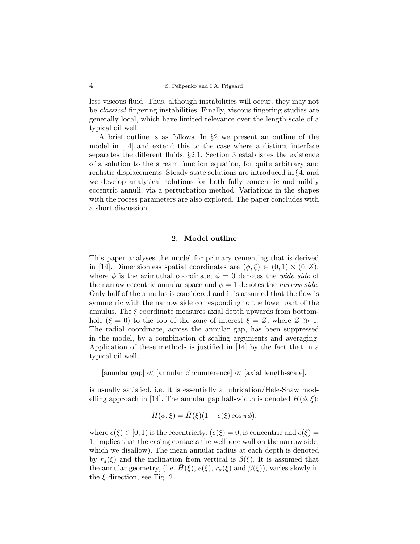less viscous fluid. Thus, although instabilities will occur, they may not be classical fingering instabilities. Finally, viscous fingering studies are generally local, which have limited relevance over the length-scale of a typical oil well.

A brief outline is as follows. In §2 we present an outline of the model in [14] and extend this to the case where a distinct interface separates the different fluids, §2.1. Section 3 establishes the existence of a solution to the stream function equation, for quite arbitrary and realistic displacements. Steady state solutions are introduced in §4, and we develop analytical solutions for both fully concentric and mildly eccentric annuli, via a perturbation method. Variations in the shapes with the rocess parameters are also explored. The paper concludes with a short discussion.

### 2. Model outline

This paper analyses the model for primary cementing that is derived in [14]. Dimensionless spatial coordinates are  $(\phi, \xi) \in (0, 1) \times (0, Z)$ , where  $\phi$  is the azimuthal coordinate;  $\phi = 0$  denotes the *wide side* of the narrow eccentric annular space and  $\phi = 1$  denotes the *narrow side*. Only half of the annulus is considered and it is assumed that the flow is symmetric with the narrow side corresponding to the lower part of the annulus. The  $\xi$  coordinate measures axial depth upwards from bottomhole  $(\xi = 0)$  to the top of the zone of interest  $\xi = Z$ , where  $Z \gg 1$ . The radial coordinate, across the annular gap, has been suppressed in the model, by a combination of scaling arguments and averaging. Application of these methods is justified in [14] by the fact that in a typical oil well,

 $\lceil$ annular gap $\lceil \ll \rceil$ annular circumference $\lceil \ll \rceil$ axial length-scale,

is usually satisfied, i.e. it is essentially a lubrication/Hele-Shaw modelling approach in [14]. The annular gap half-width is denoted  $H(\phi, \xi)$ :

$$
H(\phi,\xi) = \bar{H}(\xi)(1 + e(\xi)\cos\pi\phi),
$$

where  $e(\xi) \in [0, 1)$  is the eccentricity;  $(e(\xi) = 0)$ , is concentric and  $e(\xi) = 0$ 1, implies that the casing contacts the wellbore wall on the narrow side, which we disallow). The mean annular radius at each depth is denoted by  $r_a(\xi)$  and the inclination from vertical is  $\beta(\xi)$ . It is assumed that the annular geometry, (i.e.  $\bar{H}(\xi)$ ,  $e(\xi)$ ,  $r_a(\xi)$  and  $\beta(\xi)$ ), varies slowly in the  $\xi$ -direction, see Fig. 2.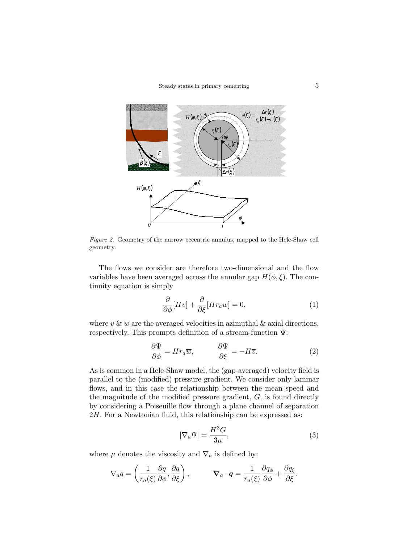

Figure 2. Geometry of the narrow eccentric annulus, mapped to the Hele-Shaw cell geometry.

The flows we consider are therefore two-dimensional and the flow variables have been averaged across the annular gap  $H(\phi, \xi)$ . The continuity equation is simply

$$
\frac{\partial}{\partial \phi}[H\overline{v}] + \frac{\partial}{\partial \xi}[Hr_a\overline{w}] = 0,\tag{1}
$$

where  $\overline{v} \& \overline{w}$  are the averaged velocities in azimuthal & axial directions, respectively. This prompts definition of a stream-function Ψ:

$$
\frac{\partial \Psi}{\partial \phi} = H r_a \overline{w}, \qquad \frac{\partial \Psi}{\partial \xi} = -H \overline{v}.
$$
 (2)

As is common in a Hele-Shaw model, the (gap-averaged) velocity field is parallel to the (modified) pressure gradient. We consider only laminar flows, and in this case the relationship between the mean speed and the magnitude of the modified pressure gradient,  $G$ , is found directly by considering a Poiseuille flow through a plane channel of separation 2H. For a Newtonian fluid, this relationship can be expressed as:

$$
|\nabla_a \Psi| = \frac{H^3 G}{3\mu},\tag{3}
$$

where  $\mu$  denotes the viscosity and  $\nabla_a$  is defined by:

$$
\nabla_a q = \left(\frac{1}{r_a(\xi)}\frac{\partial q}{\partial \phi}, \frac{\partial q}{\partial \xi}\right), \qquad \nabla_a \cdot \boldsymbol{q} = \frac{1}{r_a(\xi)}\frac{\partial q_\phi}{\partial \phi} + \frac{\partial q_\xi}{\partial \xi}.
$$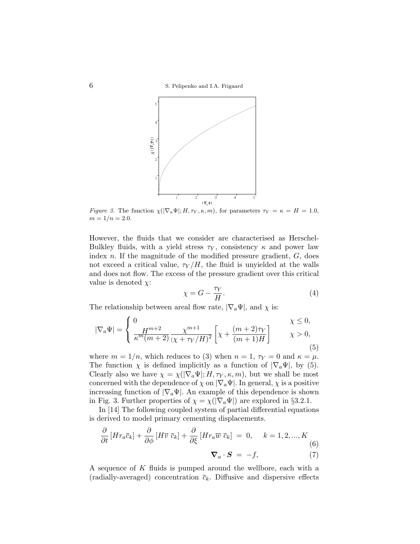

Figure 3. The function  $\chi(|\nabla_a \Psi|; H, \tau_Y, \kappa, m)$ , for parameters  $\tau_Y = \kappa = H = 1.0$ ,  $m = 1/n = 2.0$ .

However, the fluids that we consider are characterised as Herschel-Bulkley fluids, with a yield stress  $\tau_Y$ , consistency  $\kappa$  and power law index  $n$ . If the magnitude of the modified pressure gradient,  $G$ , does not exceed a critical value,  $\tau_Y/H$ , the fluid is unyielded at the walls and does not flow. The excess of the pressure gradient over this critical value is denoted  $\chi$ :

$$
\chi = G - \frac{\tau_Y}{H}.\tag{4}
$$

The relationship between areal flow rate,  $|\nabla_a \Psi|$ , and  $\chi$  is:

$$
|\nabla_a \Psi| = \begin{cases} 0 & \chi \le 0, \\ \frac{H^{m+2}}{\kappa^m (m+2)} \frac{\chi^{m+1}}{(\chi + \tau_Y/H)^2} \left[ \chi + \frac{(m+2)\tau_Y}{(m+1)H} \right] & \chi > 0, \end{cases}
$$
(5)

where  $m = 1/n$ , which reduces to (3) when  $n = 1$ ,  $\tau_Y = 0$  and  $\kappa = \mu$ . The function  $\chi$  is defined implicitly as a function of  $|\nabla_a \Psi|$ , by (5). Clearly also we have  $\chi = \chi(|\nabla_a \Psi|; H, \tau_Y, \kappa, m)$ , but we shall be most concerned with the dependence of  $\chi$  on  $|\nabla_a \Psi|$ . In general,  $\chi$  is a positive increasing function of  $|\nabla_a \Psi|$ . An example of this dependence is shown in Fig. 3. Further properties of  $\chi = \chi(|\nabla_a \Psi|)$  are explored in §3.2.1.

In [14] The following coupled system of partial differential equations is derived to model primary cementing displacements.

$$
\frac{\partial}{\partial t} \left[ H r_a \bar{c}_k \right] + \frac{\partial}{\partial \phi} \left[ H \bar{v} \ \bar{c}_k \right] + \frac{\partial}{\partial \xi} \left[ H r_a \bar{w} \ \bar{c}_k \right] = 0, \quad k = 1, 2, ..., K
$$
\n
$$
\nabla_a \cdot \mathbf{S} = -f, \tag{7}
$$

A sequence of K fluids is pumped around the wellbore, each with a (radially-averaged) concentration  $\bar{c}_k$ . Diffusive and dispersive effects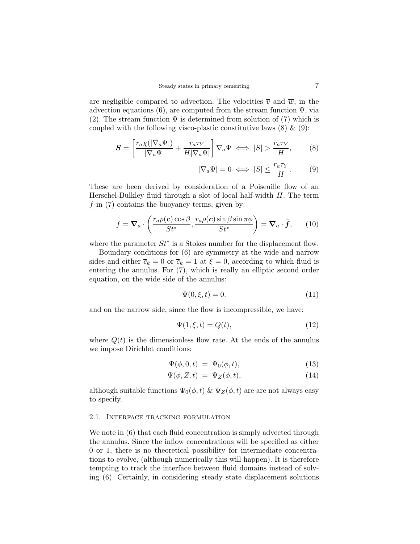are negligible compared to advection. The velocities  $\overline{v}$  and  $\overline{w}$ , in the advection equations (6), are computed from the stream function  $\Psi$ , via (2). The stream function  $\Psi$  is determined from solution of (7) which is coupled with the following visco-plastic constitutive laws  $(8) \& (9)$ :

$$
\mathbf{S} = \left[ \frac{r_a \chi(|\nabla_a \Psi|)}{|\nabla_a \Psi|} + \frac{r_a \tau_Y}{H|\nabla_a \Psi|} \right] \nabla_a \Psi \iff |S| > \frac{r_a \tau_Y}{H},\tag{8}
$$

$$
|\nabla_a \Psi| = 0 \iff |S| \le \frac{r_a \tau_Y}{H}.\tag{9}
$$

These are been derived by consideration of a Poiseuille flow of an Herschel-Bulkley fluid through a slot of local half-width  $H$ . The term  $f$  in (7) contains the buoyancy terms, given by:

$$
f = \nabla_a \cdot \left( \frac{r_a \rho(\overline{c}) \cos \beta}{St^*}, \frac{r_a \rho(\overline{c}) \sin \beta \sin \pi \phi}{St^*} \right) = \nabla_a \cdot \tilde{f}, \qquad (10)
$$

where the parameter  $St^*$  is a Stokes number for the displacement flow.

Boundary conditions for (6) are symmetry at the wide and narrow sides and either  $\overline{c}_k = 0$  or  $\overline{c}_k = 1$  at  $\xi = 0$ , according to which fluid is entering the annulus. For (7), which is really an elliptic second order equation, on the wide side of the annulus:

$$
\Psi(0,\xi,t) = 0.\tag{11}
$$

and on the narrow side, since the flow is incompressible, we have:

$$
\Psi(1,\xi,t) = Q(t),\tag{12}
$$

where  $Q(t)$  is the dimensionless flow rate. At the ends of the annulus we impose Dirichlet conditions:

$$
\Psi(\phi,0,t) = \Psi_0(\phi,t), \tag{13}
$$

$$
\Psi(\phi, Z, t) = \Psi_Z(\phi, t), \tag{14}
$$

although suitable functions  $\Psi_0(\phi, t) \& \Psi_Z(\phi, t)$  are are not always easy to specify.

### 2.1. Interface tracking formulation

We note in  $(6)$  that each fluid concentration is simply advected through the annulus. Since the inflow concentrations will be specified as either 0 or 1, there is no theoretical possibility for intermediate concentrations to evolve, (although numerically this will happen). It is therefore tempting to track the interface between fluid domains instead of solving (6). Certainly, in considering steady state displacement solutions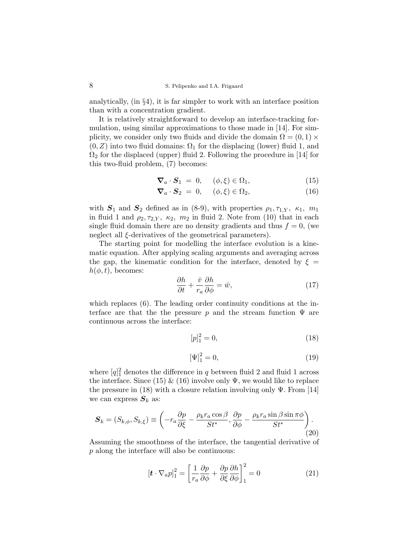analytically, (in §4), it is far simpler to work with an interface position than with a concentration gradient.

It is relatively straightforward to develop an interface-tracking formulation, using similar approximations to those made in [14]. For simplicity, we consider only two fluids and divide the domain  $\Omega = (0,1) \times$  $(0, Z)$  into two fluid domains:  $\Omega_1$  for the displacing (lower) fluid 1, and  $\Omega_2$  for the displaced (upper) fluid 2. Following the procedure in [14] for this two-fluid problem, (7) becomes:

$$
\nabla_a \cdot \mathbf{S}_1 = 0, \quad (\phi, \xi) \in \Omega_1,\tag{15}
$$

$$
\nabla_a \cdot \mathbf{S}_2 = 0, \quad (\phi, \xi) \in \Omega_2,\tag{16}
$$

with  $S_1$  and  $S_2$  defined as in (8-9), with properties  $\rho_1, \tau_{1,Y}, \kappa_1, m_1$ in fluid 1 and  $\rho_2, \tau_{2,Y}, \kappa_2, m_2$  in fluid 2. Note from (10) that in each single fluid domain there are no density gradients and thus  $f = 0$ , (we neglect all ξ-derivatives of the geometrical parameters).

The starting point for modelling the interface evolution is a kinematic equation. After applying scaling arguments and averaging across the gap, the kinematic condition for the interface, denoted by  $\xi =$  $h(\phi, t)$ , becomes:

$$
\frac{\partial h}{\partial t} + \frac{\bar{v}}{r_a} \frac{\partial h}{\partial \phi} = \bar{w},\tag{17}
$$

which replaces (6). The leading order continuity conditions at the interface are that the the pressure p and the stream function  $\Psi$  are continuous across the interface:

$$
[p]_1^2 = 0,\t(18)
$$

$$
[\Psi]_1^2 = 0,\t(19)
$$

where  $[q]_1^2$  denotes the difference in q between fluid 2 and fluid 1 across the interface. Since (15)  $\&$  (16) involve only  $\Psi$ , we would like to replace the pressure in (18) with a closure relation involving only  $\Psi$ . From [14] we can express  $S_k$  as:

$$
\mathbf{S}_{k} = (S_{k,\phi}, S_{k,\xi}) \equiv \left( -r_{a} \frac{\partial p}{\partial \xi} - \frac{\rho_{k} r_{a} \cos \beta}{St^{*}}, \frac{\partial p}{\partial \phi} - \frac{\rho_{k} r_{a} \sin \beta \sin \pi \phi}{St^{*}} \right). \tag{20}
$$

Assuming the smoothness of the interface, the tangential derivative of p along the interface will also be continuous:

$$
\left[\boldsymbol{t} \cdot \nabla_a p\right]_1^2 = \left[\frac{1}{r_a} \frac{\partial p}{\partial \phi} + \frac{\partial p}{\partial \xi} \frac{\partial h}{\partial \phi}\right]_1^2 = 0 \tag{21}
$$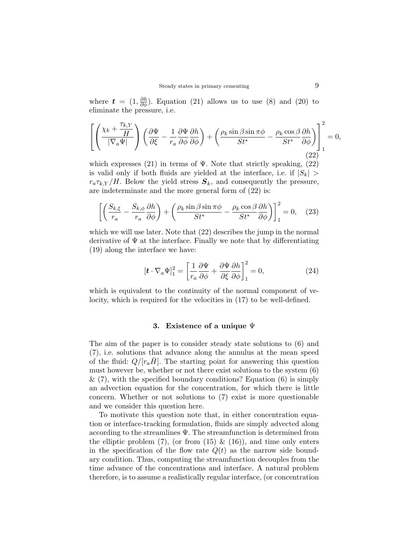where  $\boldsymbol{t} = (1, \frac{\partial h}{\partial \phi})$ . Equation (21) allows us to use (8) and (20) to eliminate the pressure, i.e.

$$
\left[ \left( \frac{\chi_k + \frac{\tau_{k,Y}}{H}}{|\nabla_a \Psi|} \right) \left( \frac{\partial \Psi}{\partial \xi} - \frac{1}{r_a} \frac{\partial \Psi}{\partial \phi} \frac{\partial h}{\partial \phi} \right) + \left( \frac{\rho_k \sin \beta \sin \pi \phi}{St^*} - \frac{\rho_k \cos \beta}{St^*} \frac{\partial h}{\partial \phi} \right) \right]_1^2 = 0, \tag{22}
$$

which expresses (21) in terms of  $\Psi$ . Note that strictly speaking, (22) is valid only if both fluids are yielded at the interface, i.e. if  $|S_k|$  >  $r_a\tau_{k,Y}/H$ . Below the yield stress  $S_k$ , and consequently the pressure, are indeterminate and the more general form of (22) is:

$$
\left[ \left( \frac{S_{k,\xi}}{r_a} - \frac{S_{k,\phi}}{r_a} \frac{\partial h}{\partial \phi} \right) + \left( \frac{\rho_k \sin \beta \sin \pi \phi}{St^*} - \frac{\rho_k \cos \beta}{St^*} \frac{\partial h}{\partial \phi} \right) \right]_1^2 = 0, \quad (23)
$$

which we will use later. Note that (22) describes the jump in the normal derivative of  $\Psi$  at the interface. Finally we note that by differentiating (19) along the interface we have:

$$
\left[\boldsymbol{t} \cdot \nabla_a \Psi\right]_1^2 = \left[\frac{1}{r_a} \frac{\partial \Psi}{\partial \phi} + \frac{\partial \Psi}{\partial \xi} \frac{\partial h}{\partial \phi}\right]_1^2 = 0, \tag{24}
$$

which is equivalent to the continuity of the normal component of velocity, which is required for the velocities in (17) to be well-defined.

#### 3. Existence of a unique Ψ

The aim of the paper is to consider steady state solutions to (6) and (7), i.e. solutions that advance along the annulus at the mean speed of the fluid:  $Q/[r_aH]$ . The starting point for answering this question must however be, whether or not there exist solutions to the system (6)  $\&$  (7), with the specified boundary conditions? Equation (6) is simply an advection equation for the concentration, for which there is little concern. Whether or not solutions to (7) exist is more questionable and we consider this question here.

To motivate this question note that, in either concentration equation or interface-tracking formulation, fluids are simply advected along according to the streamlines  $\Psi$ . The streamfunction is determined from the elliptic problem  $(7)$ , (or from  $(15) \& (16)$ ), and time only enters in the specification of the flow rate  $Q(t)$  as the narrow side boundary condition. Thus, computing the streamfunction decouples from the time advance of the concentrations and interface. A natural problem therefore, is to assume a realistically regular interface, (or concentration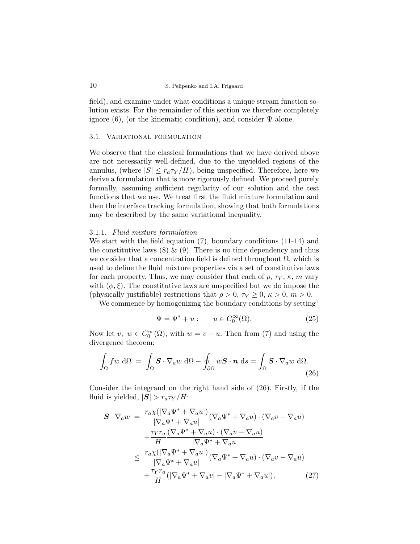field), and examine under what conditions a unique stream function solution exists. For the remainder of this section we therefore completely ignore (6), (or the kinematic condition), and consider  $\Psi$  alone.

#### 3.1. Variational formulation

We observe that the classical formulations that we have derived above are not necessarily well-defined, due to the unyielded regions of the annulus, (where  $|S| \leq r_a \tau_Y/H$ ), being unspecified. Therefore, here we derive a formulation that is more rigorously defined. We proceed purely formally, assuming sufficient regularity of our solution and the test functions that we use. We treat first the fluid mixture formulation and then the interface tracking formulation, showing that both formulations may be described by the same variational inequality.

#### 3.1.1. Fluid mixture formulation

We start with the field equation (7), boundary conditions (11-14) and the constitutive laws  $(8) \& (9)$ . There is no time dependency and thus we consider that a concentration field is defined throughout  $\Omega$ , which is used to define the fluid mixture properties via a set of constitutive laws for each property. Thus, we may consider that each of  $\rho$ ,  $\tau_Y$ ,  $\kappa$ ,  $m$  vary with  $(\phi, \xi)$ . The constitutive laws are unspecified but we do impose the (physically justifiable) restrictions that  $\rho > 0$ ,  $\tau_Y \geq 0$ ,  $\kappa > 0$ ,  $m > 0$ .

We commence by homogenizing the boundary conditions by setting<sup>1</sup>

$$
\Psi = \Psi^* + u: \qquad u \in C_0^{\infty}(\Omega). \tag{25}
$$

Now let  $v, w \in C_0^{\infty}(\Omega)$ , with  $w = v - u$ . Then from (7) and using the divergence theorem:

$$
\int_{\Omega} f w \, d\Omega = \int_{\Omega} \mathbf{S} \cdot \nabla_a w \, d\Omega - \oint_{\partial \Omega} w \mathbf{S} \cdot \mathbf{n} \, ds = \int_{\Omega} \mathbf{S} \cdot \nabla_a w \, d\Omega.
$$
\n(26)

Consider the integrand on the right hand side of (26). Firstly, if the fluid is yielded,  $|\mathbf{S}| > r_a \tau_Y / H$ :

$$
\mathbf{S} \cdot \nabla_a w = \frac{r_a \chi(|\nabla_a \Psi^* + \nabla_a u|)}{|\nabla_a \Psi^* + \nabla_a u|} (\nabla_a \Psi^* + \nabla_a u) \cdot (\nabla_a v - \nabla_a u)
$$

$$
+ \frac{\tau \gamma r_a}{H} \frac{(\nabla_a \Psi^* + \nabla_a u) \cdot (\nabla_a v - \nabla_a u)}{|\nabla_a \Psi^* + \nabla_a u|}
$$

$$
\leq \frac{r_a \chi(|\nabla_a \Psi^* + \nabla_a u|)}{|\nabla_a \Psi^* + \nabla_a u|} (\nabla_a \Psi^* + \nabla_a u) \cdot (\nabla_a v - \nabla_a u)
$$

$$
+ \frac{\tau \gamma r_a}{H} (|\nabla_a \Psi^* + \nabla_a v| - |\nabla_a \Psi^* + \nabla_a u|), \tag{27}
$$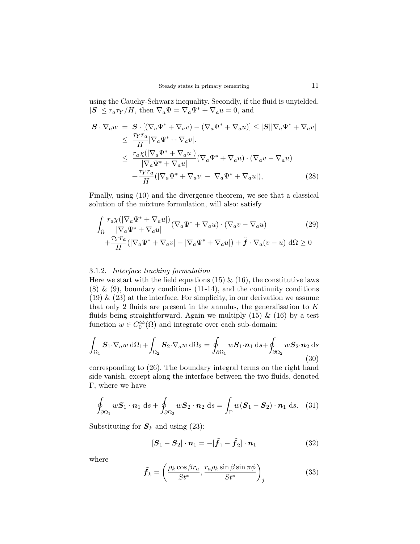using the Cauchy-Schwarz inequality. Secondly, if the fluid is unyielded,  $|\mathbf{S}| \le r_a \tau_Y / H$ , then  $\nabla_a \Psi = \nabla_a \Psi^* + \nabla_a u = 0$ , and

$$
\mathbf{S} \cdot \nabla_a w = \mathbf{S} \cdot [(\nabla_a \Psi^* + \nabla_a v) - (\nabla_a \Psi^* + \nabla_a u)] \leq |\mathbf{S}| |\nabla_a \Psi^* + \nabla_a v|
$$
  
\n
$$
\leq \frac{\tau_Y r_a}{H} |\nabla_a \Psi^* + \nabla_a v|.
$$
  
\n
$$
\leq \frac{r_a \chi(|\nabla_a \Psi^* + \nabla_a u|)}{|\nabla_a \Psi^* + \nabla_a u|} (\nabla_a \Psi^* + \nabla_a u) \cdot (\nabla_a v - \nabla_a u)
$$
  
\n
$$
+ \frac{\tau_Y r_a}{H} (|\nabla_a \Psi^* + \nabla_a v| - |\nabla_a \Psi^* + \nabla_a u|), \qquad (28)
$$

Finally, using (10) and the divergence theorem, we see that a classical solution of the mixture formulation, will also: satisfy

$$
\int_{\Omega} \frac{r_a \chi(|\nabla_a \Psi^* + \nabla_a u|)}{|\nabla_a \Psi^* + \nabla_a u|} (\nabla_a \Psi^* + \nabla_a u) \cdot (\nabla_a v - \nabla_a u) \tag{29}
$$
\n
$$
+ \frac{\tau_Y r_a}{H} (|\nabla_a \Psi^* + \nabla_a v| - |\nabla_a \Psi^* + \nabla_a u|) + \tilde{\boldsymbol{f}} \cdot \nabla_a (v - u) \, d\Omega \ge 0
$$

# 3.1.2. Interface tracking formulation

Here we start with the field equations (15)  $\&$  (16), the constitutive laws  $(8)$  &  $(9)$ , boundary conditions  $(11-14)$ , and the continuity conditions  $(19)$  &  $(23)$  at the interface. For simplicity, in our derivation we assume that only 2 fluids are present in the annulus, the generalisation to  $K$ fluids being straightforward. Again we multiply  $(15)$  &  $(16)$  by a test function  $w \in C_0^{\infty}(\Omega)$  and integrate over each sub-domain:

$$
\int_{\Omega_1} \mathbf{S}_1 \cdot \nabla_a w \, d\Omega_1 + \int_{\Omega_2} \mathbf{S}_2 \cdot \nabla_a w \, d\Omega_2 = \oint_{\partial \Omega_1} w \mathbf{S}_1 \cdot \mathbf{n}_1 \, ds + \oint_{\partial \Omega_2} w \mathbf{S}_2 \cdot \mathbf{n}_2 \, ds
$$
\n(30)

corresponding to (26). The boundary integral terms on the right hand side vanish, except along the interface between the two fluids, denoted Γ, where we have

$$
\oint_{\partial \Omega_1} w \mathbf{S}_1 \cdot \mathbf{n}_1 \, \mathrm{d}s + \oint_{\partial \Omega_2} w \mathbf{S}_2 \cdot \mathbf{n}_2 \, \mathrm{d}s = \int_{\Gamma} w (\mathbf{S}_1 - \mathbf{S}_2) \cdot \mathbf{n}_1 \, \mathrm{d}s. \tag{31}
$$

Substituting for  $S_k$  and using (23):

$$
[\boldsymbol{S}_1 - \boldsymbol{S}_2] \cdot \boldsymbol{n}_1 = -[\tilde{\boldsymbol{f}}_1 - \tilde{\boldsymbol{f}}_2] \cdot \boldsymbol{n}_1 \tag{32}
$$

where

$$
\tilde{f}_k = \left(\frac{\rho_k \cos \beta r_a}{St^*}, \frac{r_a \rho_k \sin \beta \sin \pi \phi}{St^*}\right)_j
$$
\n(33)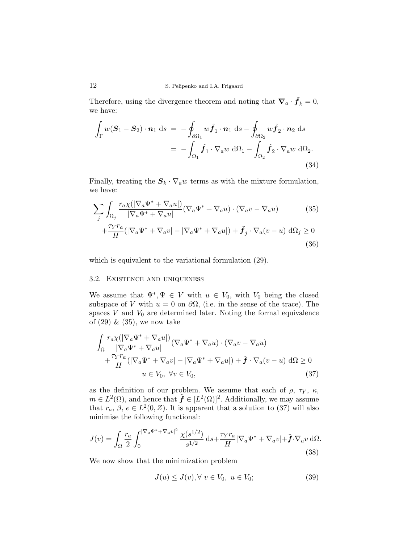Therefore, using the divergence theorem and noting that  $\nabla_a \cdot \tilde{f}_k = 0$ , we have:

$$
\int_{\Gamma} w(\mathbf{S}_1 - \mathbf{S}_2) \cdot \mathbf{n}_1 \, \mathrm{d}s = -\oint_{\partial \Omega_1} w \tilde{\mathbf{f}}_1 \cdot \mathbf{n}_1 \, \mathrm{d}s - \oint_{\partial \Omega_2} w \tilde{\mathbf{f}}_2 \cdot \mathbf{n}_2 \, \mathrm{d}s
$$
\n
$$
= -\int_{\Omega_1} \tilde{\mathbf{f}}_1 \cdot \nabla_a w \, \mathrm{d}\Omega_1 - \int_{\Omega_2} \tilde{\mathbf{f}}_2 \cdot \nabla_a w \, \mathrm{d}\Omega_2. \tag{34}
$$

Finally, treating the  $S_k \cdot \nabla_a w$  terms as with the mixture formulation, we have:

$$
\sum_{j} \int_{\Omega_{j}} \frac{r_{a} \chi(|\nabla_{a} \Psi^{*} + \nabla_{a} u|)}{|\nabla_{a} \Psi^{*} + \nabla_{a} u|} (\nabla_{a} \Psi^{*} + \nabla_{a} u) \cdot (\nabla_{a} v - \nabla_{a} u)
$$
(35)

$$
+\frac{\tau_Y r_a}{H}(|\nabla_a \Psi^* + \nabla_a v| - |\nabla_a \Psi^* + \nabla_a u|) + \tilde{f}_j \cdot \nabla_a (v - u) d\Omega_j \ge 0
$$
\n(36)

which is equivalent to the variational formulation (29).

## 3.2. Existence and uniqueness

We assume that  $\Psi^*, \Psi \in V$  with  $u \in V_0$ , with  $V_0$  being the closed subspace of V with  $u = 0$  on  $\partial\Omega$ , (i.e. in the sense of the trace). The spaces  $V$  and  $V_0$  are determined later. Noting the formal equivalence of  $(29)$  &  $(35)$ , we now take

$$
\int_{\Omega} \frac{r_a \chi(|\nabla_a \Psi^* + \nabla_a u|)}{|\nabla_a \Psi^* + \nabla_a u|} (\nabla_a \Psi^* + \nabla_a u) \cdot (\nabla_a v - \nabla_a u) \n+ \frac{\tau_Y r_a}{H} (|\nabla_a \Psi^* + \nabla_a v| - |\nabla_a \Psi^* + \nabla_a u|) + \tilde{\boldsymbol{f}} \cdot \nabla_a (v - u) d\Omega \ge 0 \nu \in V_0, \forall v \in V_0,
$$
\n(37)

as the definition of our problem. We assume that each of  $\rho$ ,  $\tau_Y$ ,  $\kappa$ ,  $m \in L^2(\Omega)$ , and hence that  $\tilde{\boldsymbol{f}} \in [L^2(\Omega)]^2$ . Additionally, we may assume that  $r_a, \beta, e \in L^2(0, Z)$ . It is apparent that a solution to (37) will also minimise the following functional:

$$
J(v) = \int_{\Omega} \frac{r_a}{2} \int_0^{|\nabla_a \Psi^* + \nabla_a v|^2} \frac{\chi(s^{1/2})}{s^{1/2}} ds + \frac{\tau_Y r_a}{H} |\nabla_a \Psi^* + \nabla_a v| + \tilde{\mathbf{f}} \cdot \nabla_a v \, d\Omega. \tag{38}
$$

We now show that the minimization problem

$$
J(u) \le J(v), \forall v \in V_0, u \in V_0;
$$
\n
$$
(39)
$$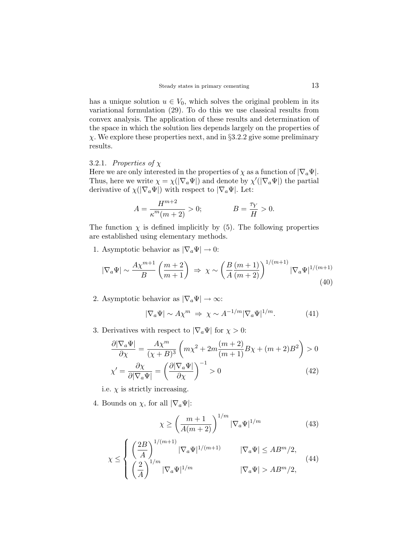has a unique solution  $u \in V_0$ , which solves the original problem in its variational formulation (29). To do this we use classical results from convex analysis. The application of these results and determination of the space in which the solution lies depends largely on the properties of  $\chi$ . We explore these properties next, and in §3.2.2 give some preliminary results.

## 3.2.1. Properties of  $\chi$

Here we are only interested in the properties of  $\chi$  as a function of  $|\nabla_a \Psi|$ . Thus, here we write  $\chi = \chi(|\nabla_a \Psi|)$  and denote by  $\chi'(|\nabla_a \Psi|)$  the partial derivative of  $\chi(|\nabla_a\Psi|)$  with respect to  $|\nabla_a\Psi|$ . Let:

$$
A = \frac{H^{m+2}}{\kappa^m(m+2)} > 0; \qquad B = \frac{\tau_Y}{H} > 0.
$$

The function  $\chi$  is defined implicitly by (5). The following properties are established using elementary methods.

1. Asymptotic behavior as  $|\nabla_a \Psi| \to 0$ :

$$
|\nabla_a \Psi| \sim \frac{A \chi^{m+1}}{B} \left( \frac{m+2}{m+1} \right) \Rightarrow \chi \sim \left( \frac{B}{A} \frac{(m+1)}{(m+2)} \right)^{1/(m+1)} |\nabla_a \Psi|^{1/(m+1)}
$$
(40)

2. Asymptotic behavior as  $|\nabla_a \Psi| \to \infty$ :

$$
|\nabla_a \Psi| \sim A \chi^m \Rightarrow \chi \sim A^{-1/m} |\nabla_a \Psi|^{1/m}.
$$
 (41)

3. Derivatives with respect to  $|\nabla_a \Psi|$  for  $\chi > 0$ :

$$
\frac{\partial |\nabla_a \Psi|}{\partial \chi} = \frac{A\chi^m}{(\chi + B)^3} \left( m\chi^2 + 2m \frac{(m+2)}{(m+1)} B\chi + (m+2)B^2 \right) > 0
$$
  

$$
\chi' = \frac{\partial \chi}{\partial |\nabla_a \Psi|} = \left( \frac{\partial |\nabla_a \Psi|}{\partial \chi} \right)^{-1} > 0
$$
(42)

i.e.  $\chi$  is strictly increasing.

4. Bounds on  $\chi$ , for all  $|\nabla_a \Psi|$ :

$$
\chi \ge \left(\frac{m+1}{A(m+2)}\right)^{1/m} |\nabla_a \Psi|^{1/m} \tag{43}
$$

$$
\chi \leq \begin{cases} \left(\frac{2B}{A}\right)^{1/(m+1)} |\nabla_a \Psi|^{1/(m+1)} & |\nabla_a \Psi| \leq AB^m/2, \\ \left(\frac{2}{A}\right)^{1/m} |\nabla_a \Psi|^{1/m} & |\nabla_a \Psi| > AB^m/2, \end{cases}
$$
(44)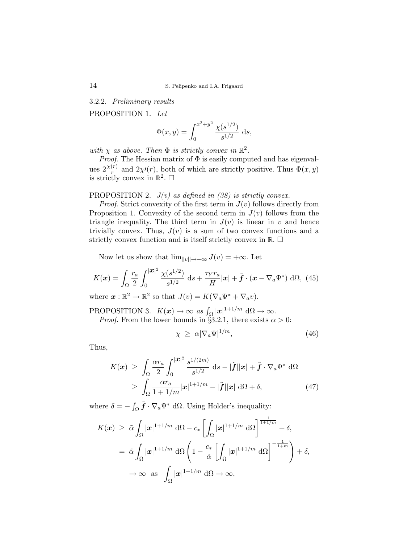3.2.2. Preliminary results

PROPOSITION 1. Let

$$
\Phi(x,y) = \int_0^{x^2 + y^2} \frac{\chi(s^{1/2})}{s^{1/2}} ds,
$$

with  $\chi$  as above. Then  $\Phi$  is strictly convex in  $\mathbb{R}^2$ .

*Proof.* The Hessian matrix of  $\Phi$  is easily computed and has eigenvalues  $2\frac{\chi(r)}{r}$  and  $2\chi(r)$ , both of which are strictly positive. Thus  $\Phi(x, y)$ is strictly convex in  $\mathbb{R}^2$ .  $\Box$ 

PROPOSITION 2.  $J(v)$  as defined in (38) is strictly convex.

*Proof.* Strict convexity of the first term in  $J(v)$  follows directly from Proposition 1. Convexity of the second term in  $J(v)$  follows from the triangle inequality. The third term in  $J(v)$  is linear in v and hence trivially convex. Thus,  $J(v)$  is a sum of two convex functions and a strictly convex function and is itself strictly convex in  $\mathbb{R}$ .  $\Box$ 

Now let us show that  $\lim_{||v||\to+\infty} J(v) = +\infty$ . Let

$$
K(\boldsymbol{x}) = \int_{\Omega} \frac{r_a}{2} \int_0^{|\boldsymbol{x}|^2} \frac{\chi(s^{1/2})}{s^{1/2}} ds + \frac{\tau_Y r_a}{H} |\boldsymbol{x}| + \tilde{\boldsymbol{f}} \cdot (\boldsymbol{x} - \nabla_a \Psi^*) d\Omega, \tag{45}
$$

where  $\mathbf{x} : \mathbb{R}^2 \to \mathbb{R}^2$  so that  $J(v) = K(\nabla_a \Psi^* + \nabla_a v)$ .

PROPOSITION 3.  $K(\mathbf{x}) \to \infty$  as  $\int_{\Omega} |\mathbf{x}|^{1+1/m} d\Omega \to \infty$ . *Proof.* From the lower bounds in §3.2.1, there exists  $\alpha > 0$ :

$$
\chi \geq \alpha |\nabla_a \Psi|^{1/m}, \tag{46}
$$

Thus,

$$
K(\boldsymbol{x}) \geq \int_{\Omega} \frac{\alpha r_a}{2} \int_0^{|\boldsymbol{x}|^2} \frac{s^{1/(2m)}}{s^{1/2}} ds - |\tilde{\boldsymbol{f}}||\boldsymbol{x}| + \tilde{\boldsymbol{f}} \cdot \nabla_a \Psi^* d\Omega
$$
  
\n
$$
\geq \int_{\Omega} \frac{\alpha r_a}{1 + 1/m} |\boldsymbol{x}|^{1 + 1/m} - |\tilde{\boldsymbol{f}}||\boldsymbol{x}| d\Omega + \delta,
$$
 (47)

where  $\delta = \int_{\Omega} \tilde{\boldsymbol{f}} \cdot \nabla_a \Psi^* d\Omega$ . Using Holder's inequality:

$$
K(\boldsymbol{x}) \geq \tilde{\alpha} \int_{\Omega} |\boldsymbol{x}|^{1+1/m} d\Omega - c_{*} \left[ \int_{\Omega} |\boldsymbol{x}|^{1+1/m} d\Omega \right]^{\frac{1}{1+1/m}} + \delta,
$$
  

$$
= \tilde{\alpha} \int_{\Omega} |\boldsymbol{x}|^{1+1/m} d\Omega \left( 1 - \frac{c_{*}}{\tilde{\alpha}} \left[ \int_{\Omega} |\boldsymbol{x}|^{1+1/m} d\Omega \right]^{-\frac{1}{1+m}} \right) + \delta,
$$
  

$$
\to \infty \text{ as } \int_{\Omega} |\boldsymbol{x}|^{1+1/m} d\Omega \to \infty,
$$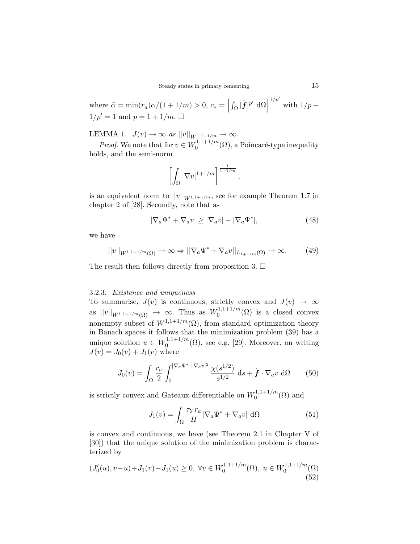where  $\tilde{\alpha} = \min(r_a)\alpha/(1 + 1/m) > 0$ ,  $c_* =$  $\overline{h}$  $\int_{\Omega} |\tilde{\boldsymbol{f}}|^{p'} d\Omega$   $\left| \int_{1/p'}^{1/p'} \right|$  with  $1/p +$  $1/p' = 1$  and  $p = 1 + 1/m$ .  $\Box$ 

LEMMA 1.  $J(v) \to \infty$  as  $||v||_{W^{1,1+1/m}} \to \infty$ .

*Proof.* We note that for  $v \in W_0^{1,1+1/m}$  $\mathbb{Q}_0^{1,1,\mathsf{I}+1/m}(\Omega)$ , a Poincaré-type inequality holds, and the semi-norm

$$
\left[\int_{\Omega}|\nabla v|^{1+1/m}\right]^{\frac{1}{1+1/m}},
$$

is an equivalent norm to  $||v||_{W^{1,1+1/m}}$ , see for example Theorem 1.7 in chapter 2 of [28]. Secondly, note that as

$$
|\nabla_a \Psi^* + \nabla_a v| \ge |\nabla_a v| - |\nabla_a \Psi^*|,\tag{48}
$$

we have

$$
||v||_{W^{1,1+1/m}(\Omega)} \to \infty \Rightarrow ||\nabla_a \Psi^* + \nabla_a v||_{L_{1+1/m}(\Omega)} \to \infty. \tag{49}
$$

The result then follows directly from proposition 3.  $\Box$ 

#### 3.2.3. Existence and uniqueness

To summarise,  $J(v)$  is continuous, strictly convex and  $J(v) \rightarrow \infty$ as  $||v||_{W^{1,1+1/m}(\Omega)} \to \infty$ . Thus as  $W_0^{1,1+1/m}$  $_{0}^{1,1+1/m}(\Omega)$  is a closed convex nonempty subset of  $W^{1,1+1/m}(\Omega)$ , from standard optimization theory in Banach spaces it follows that the minimization problem (39) has a unique solution  $u \in W_0^{1,1+1/m}$  $\mathbb{Q}_0^{1,1,\mathfrak{t}+1/m}(\Omega)$ , see e.g. [29]. Moreover, on writing  $J(v) = J_0(v) + J_1(v)$  where

$$
J_0(v) = \int_{\Omega} \frac{r_a}{2} \int_0^{|\nabla_a \Psi^* + \nabla_a v|^2} \frac{\chi(s^{1/2})}{s^{1/2}} ds + \tilde{f} \cdot \nabla_a v \, d\Omega \qquad (50)
$$

is strictly convex and Gateaux-differentiable on  $W_0^{1,1+1/m}$  $0^{(1,1+1/m)}$  $(\Omega)$  and

$$
J_1(v) = \int_{\Omega} \frac{\tau_Y r_a}{H} |\nabla_a \Psi^* + \nabla_a v| \, \, \mathrm{d}\Omega \tag{51}
$$

is convex and continuous, we have (see Theorem 2.1 in Chapter V of [30]) that the unique solution of the minimization problem is characterized by

$$
(J_0'(u), v-u)+J_1(v)-J_1(u) \ge 0, \ \forall v \in W_0^{1,1+1/m}(\Omega), \ u \in W_0^{1,1+1/m}(\Omega)
$$
\n(52)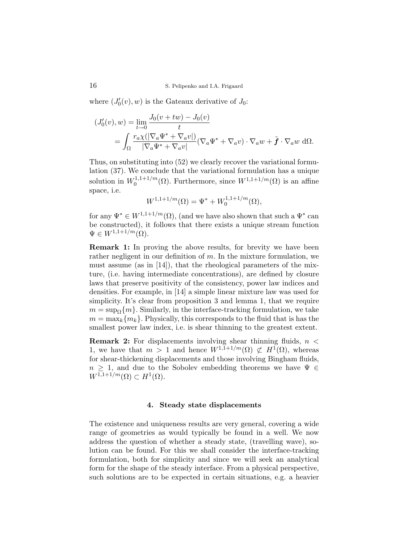where  $(J'_0(v), w)$  is the Gateaux derivative of  $J_0$ :

$$
(J'_0(v), w) = \lim_{t \to 0} \frac{J_0(v + tw) - J_0(v)}{t}
$$
  
= 
$$
\int_{\Omega} \frac{r_{a} \chi(|\nabla_a \Psi^* + \nabla_a v|)}{|\nabla_a \Psi^* + \nabla_a v|} (\nabla_a \Psi^* + \nabla_a v) \cdot \nabla_a w + \tilde{f} \cdot \nabla_a w \, d\Omega.
$$

Thus, on substituting into (52) we clearly recover the variational formulation (37). We conclude that the variational formulation has a unique solution in  $W_0^{1,1+1/m}$  $\mathbb{Q}_0^{1,1+1/m}(\Omega)$ . Furthermore, since  $W^{1,1+1/m}(\Omega)$  is an affine space, i.e.

$$
W^{1,1+1/m}(\Omega) = \Psi^* + W_0^{1,1+1/m}(\Omega),
$$

for any  $\Psi^* \in W^{1,1+1/m}(\Omega)$ , (and we have also shown that such a  $\Psi^*$  can be constructed), it follows that there exists a unique stream function  $\Psi \in W^{1,1+1/m}(\Omega).$ 

Remark 1: In proving the above results, for brevity we have been rather negligent in our definition of  $m$ . In the mixture formulation, we must assume (as in [14]), that the rheological parameters of the mixture, (i.e. having intermediate concentrations), are defined by closure laws that preserve positivity of the consistency, power law indices and densities. For example, in [14] a simple linear mixture law was used for simplicity. It's clear from proposition 3 and lemma 1, that we require  $m = \sup_{\Omega} \{m\}.$  Similarly, in the interface-tracking formulation, we take  $m = \max_k \{m_k\}.$  Physically, this corresponds to the fluid that is has the smallest power law index, i.e. is shear thinning to the greatest extent.

**Remark 2:** For displacements involving shear thinning fluids,  $n <$ 1, we have that  $m > 1$  and hence  $W^{1,1+1/m}(\Omega) \not\subset H^1(\Omega)$ , whereas for shear-thickening displacements and those involving Bingham fluids,  $n \geq 1$ , and due to the Sobolev embedding theorems we have  $\Psi \in$  $W^{1,1+1/m}(\Omega) \subset H^1(\Omega).$ 

#### 4. Steady state displacements

The existence and uniqueness results are very general, covering a wide range of geometries as would typically be found in a well. We now address the question of whether a steady state, (travelling wave), solution can be found. For this we shall consider the interface-tracking formulation, both for simplicity and since we will seek an analytical form for the shape of the steady interface. From a physical perspective, such solutions are to be expected in certain situations, e.g. a heavier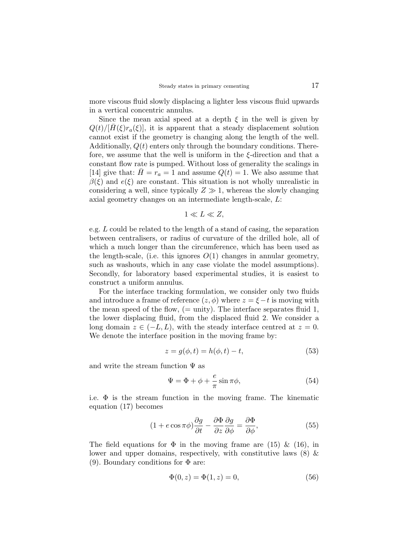more viscous fluid slowly displacing a lighter less viscous fluid upwards in a vertical concentric annulus.

Since the mean axial speed at a depth  $\xi$  in the well is given by  $Q(t)/[H(\xi)r_a(\xi)]$ , it is apparent that a steady displacement solution cannot exist if the geometry is changing along the length of the well. Additionally,  $Q(t)$  enters only through the boundary conditions. Therefore, we assume that the well is uniform in the  $\xi$ -direction and that a constant flow rate is pumped. Without loss of generality the scalings in [14] give that:  $H = r_a = 1$  and assume  $Q(t) = 1$ . We also assume that  $\beta(\xi)$  and  $e(\xi)$  are constant. This situation is not wholly unrealistic in considering a well, since typically  $Z \gg 1$ , whereas the slowly changing axial geometry changes on an intermediate length-scale, L:

$$
1 \ll L \ll Z,
$$

e.g. L could be related to the length of a stand of casing, the separation between centralisers, or radius of curvature of the drilled hole, all of which a much longer than the circumference, which has been used as the length-scale, (i.e. this ignores  $O(1)$  changes in annular geometry, such as washouts, which in any case violate the model assumptions). Secondly, for laboratory based experimental studies, it is easiest to construct a uniform annulus.

For the interface tracking formulation, we consider only two fluids and introduce a frame of reference  $(z, \phi)$  where  $z = \xi - t$  is moving with the mean speed of the flow,  $(=$  unity). The interface separates fluid 1, the lower displacing fluid, from the displaced fluid 2. We consider a long domain  $z \in (-L, L)$ , with the steady interface centred at  $z = 0$ . We denote the interface position in the moving frame by:

$$
z = g(\phi, t) = h(\phi, t) - t,\tag{53}
$$

and write the stream function  $\Psi$  as

$$
\Psi = \Phi + \phi + \frac{e}{\pi} \sin \pi \phi, \tag{54}
$$

i.e.  $\Phi$  is the stream function in the moving frame. The kinematic equation (17) becomes

$$
(1 + e \cos \pi \phi) \frac{\partial g}{\partial t} - \frac{\partial \Phi}{\partial z} \frac{\partial g}{\partial \phi} = \frac{\partial \Phi}{\partial \phi},\tag{55}
$$

The field equations for  $\Phi$  in the moving frame are (15) & (16), in lower and upper domains, respectively, with constitutive laws  $(8)$  & (9). Boundary conditions for  $\Phi$  are:

$$
\Phi(0, z) = \Phi(1, z) = 0,\t\t(56)
$$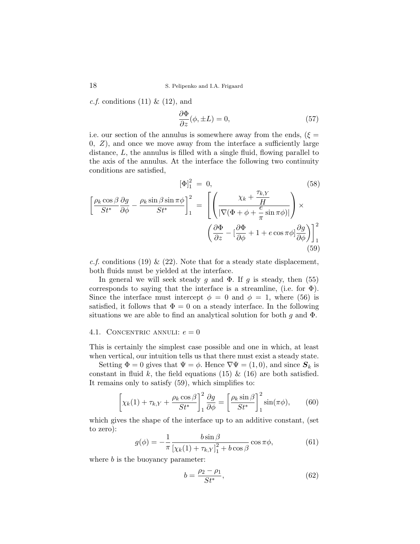*c.f.* conditions  $(11) \& (12)$ , and

$$
\frac{\partial \Phi}{\partial z}(\phi, \pm L) = 0,\tag{57}
$$

i.e. our section of the annulus is somewhere away from the ends, ( $\xi =$  $0, Z$ , and once we move away from the interface a sufficiently large distance, L, the annulus is filled with a single fluid, flowing parallel to the axis of the annulus. At the interface the following two continuity conditions are satisfied,

$$
[\Phi]_1^2 = 0,
$$
\n
$$
\left[\frac{\rho_k \cos \beta}{St^*} \frac{\partial g}{\partial \phi} - \frac{\rho_k \sin \beta \sin \pi \phi}{St^*}\right]_1^2 = \left[\left(\frac{\chi_k + \frac{\tau_{k,Y}}{H}}{|\nabla(\Phi + \phi + \frac{e}{\pi} \sin \pi \phi)|}\right) \times \left(\frac{\partial \Phi}{\partial z} - \left[\frac{\partial \Phi}{\partial \phi} + 1 + e \cos \pi \phi\right] \frac{\partial g}{\partial \phi}\right)\right]_1^2
$$
\n(59)

c.f. conditions (19) & (22). Note that for a steady state displacement, both fluids must be yielded at the interface.

In general we will seek steady g and  $\Phi$ . If g is steady, then (55) corresponds to saying that the interface is a streamline, (i.e. for  $\Phi$ ). Since the interface must intercept  $\phi = 0$  and  $\phi = 1$ , where (56) is satisfied, it follows that  $\Phi = 0$  on a steady interface. In the following situations we are able to find an analytical solution for both  $q$  and  $\Phi$ .

## 4.1. CONCENTRIC ANNULI:  $e = 0$

This is certainly the simplest case possible and one in which, at least when vertical, our intuition tells us that there must exist a steady state.

Setting  $\Phi = 0$  gives that  $\Psi = \phi$ . Hence  $\nabla \Psi = (1, 0)$ , and since  $S_k$  is constant in fluid k, the field equations (15)  $\&$  (16) are both satisfied. It remains only to satisfy (59), which simplifies to:

$$
\left[\chi_k(1) + \tau_{k,Y} + \frac{\rho_k \cos \beta}{St^*}\right]_1^2 \frac{\partial g}{\partial \phi} = \left[\frac{\rho_k \sin \beta}{St^*}\right]_1^2 \sin(\pi \phi),\tag{60}
$$

which gives the shape of the interface up to an additive constant, (set to zero):

$$
g(\phi) = -\frac{1}{\pi} \frac{b \sin \beta}{\left[\chi_k(1) + \tau_{k,Y}\right]_1^2 + b \cos \beta} \cos \pi \phi,
$$
 (61)

where  $b$  is the buoyancy parameter:

$$
b = \frac{\rho_2 - \rho_1}{St^*},\tag{62}
$$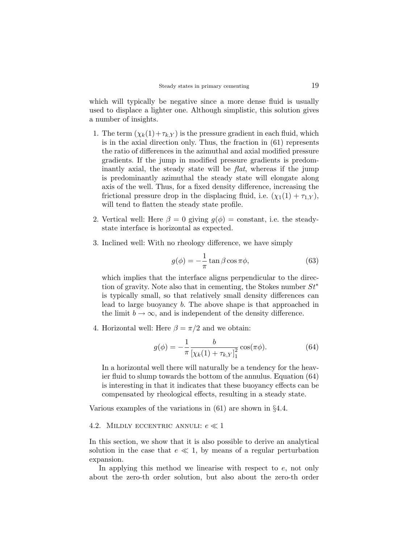which will typically be negative since a more dense fluid is usually used to displace a lighter one. Although simplistic, this solution gives a number of insights.

- 1. The term  $(\chi_k(1)+\tau_{k,Y})$  is the pressure gradient in each fluid, which is in the axial direction only. Thus, the fraction in (61) represents the ratio of differences in the azimuthal and axial modified pressure gradients. If the jump in modified pressure gradients is predominantly axial, the steady state will be flat, whereas if the jump is predominantly azimuthal the steady state will elongate along axis of the well. Thus, for a fixed density difference, increasing the frictional pressure drop in the displacing fluid, i.e.  $(\chi_1(1) + \tau_{1,Y})$ , will tend to flatten the steady state profile.
- 2. Vertical well: Here  $\beta = 0$  giving  $g(\phi) = constant$ , i.e. the steadystate interface is horizontal as expected.
- 3. Inclined well: With no rheology difference, we have simply

$$
g(\phi) = -\frac{1}{\pi} \tan \beta \cos \pi \phi, \qquad (63)
$$

which implies that the interface aligns perpendicular to the direction of gravity. Note also that in cementing, the Stokes number  $St^*$ is typically small, so that relatively small density differences can lead to large buoyancy b. The above shape is that approached in the limit  $b \to \infty$ , and is independent of the density difference.

4. Horizontal well: Here  $\beta = \pi/2$  and we obtain:

$$
g(\phi) = -\frac{1}{\pi} \frac{b}{\left[\chi_k(1) + \tau_{k,Y}\right]_1^2} \cos(\pi \phi). \tag{64}
$$

In a horizontal well there will naturally be a tendency for the heavier fluid to slump towards the bottom of the annulus. Equation (64) is interesting in that it indicates that these buoyancy effects can be compensated by rheological effects, resulting in a steady state.

Various examples of the variations in (61) are shown in §4.4.

#### 4.2. MILDLY ECCENTRIC ANNULI:  $e \ll 1$

In this section, we show that it is also possible to derive an analytical solution in the case that  $e \ll 1$ , by means of a regular perturbation expansion.

In applying this method we linearise with respect to  $e$ , not only about the zero-th order solution, but also about the zero-th order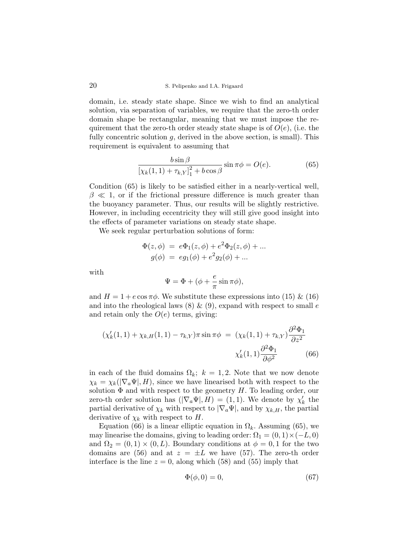domain, i.e. steady state shape. Since we wish to find an analytical solution, via separation of variables, we require that the zero-th order domain shape be rectangular, meaning that we must impose the requirement that the zero-th order steady state shape is of  $O(e)$ , (i.e. the fully concentric solution  $q$ , derived in the above section, is small). This requirement is equivalent to assuming that

$$
\frac{b\sin\beta}{\left[\chi_k(1,1) + \tau_{k,Y}\right]_1^2 + b\cos\beta} \sin\pi\phi = O(e). \tag{65}
$$

Condition (65) is likely to be satisfied either in a nearly-vertical well,  $\beta \ll 1$ , or if the frictional pressure difference is much greater than the buoyancy parameter. Thus, our results will be slightly restrictive. However, in including eccentricity they will still give good insight into the effects of parameter variations on steady state shape.

We seek regular perturbation solutions of form:

$$
\Phi(z, \phi) = e\Phi_1(z, \phi) + e^2 \Phi_2(z, \phi) + ... g(\phi) = eg_1(\phi) + e^2 g_2(\phi) + ...
$$

with

$$
\Psi = \Phi + (\phi + \frac{e}{\pi}\sin \pi \phi),
$$

and  $H = 1 + e \cos \pi \phi$ . We substitute these expressions into (15) & (16) and into the rheological laws  $(8) \& (9)$ , expand with respect to small e and retain only the  $O(e)$  terms, giving:

$$
(\chi'_k(1,1) + \chi_{k,H}(1,1) - \tau_{k,Y})\pi \sin \pi \phi = (\chi_k(1,1) + \tau_{k,Y})\frac{\partial^2 \Phi_1}{\partial z^2} \n\chi'_k(1,1)\frac{\partial^2 \Phi_1}{\partial \phi^2}
$$
\n(66)

in each of the fluid domains  $\Omega_k$ ;  $k = 1, 2$ . Note that we now denote  $\chi_k = \chi_k(|\nabla_a \Psi|, H)$ , since we have linearised both with respect to the solution  $\Phi$  and with respect to the geometry H. To leading order, our zero-th order solution has  $(|\nabla_a \Psi|, H) = (1, 1)$ . We denote by  $\chi'_k$  the partial derivative of  $\chi_k$  with respect to  $|\nabla_a \Psi|$ , and by  $\chi_{k,H}$ , the partial derivative of  $\chi_k$  with respect to H.

Equation (66) is a linear elliptic equation in  $\Omega_k$ . Assuming (65), we may linearise the domains, giving to leading order:  $\Omega_1 = (0, 1) \times (-L, 0)$ and  $\Omega_2 = (0,1) \times (0,L)$ . Boundary conditions at  $\phi = 0,1$  for the two domains are (56) and at  $z = \pm L$  we have (57). The zero-th order interface is the line  $z = 0$ , along which (58) and (55) imply that

$$
\Phi(\phi, 0) = 0,\tag{67}
$$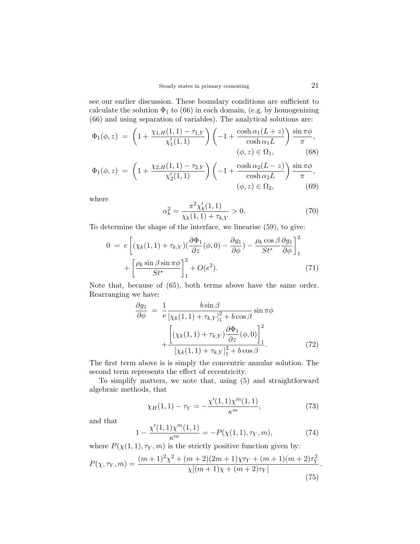see our earlier discussion. These boundary conditions are sufficient to calculate the solution  $\Phi_1$  to (66) in each domain, (e.g. by homogenizing (66) and using separation of variables). The analytical solutions are:

$$
\Phi_1(\phi, z) = \left(1 + \frac{\chi_{1,H}(1, 1) - \tau_{1,Y}}{\chi'_1(1, 1)}\right) \left(-1 + \frac{\cosh \alpha_1(L+z)}{\cosh \alpha_1 L}\right) \frac{\sin \pi \phi}{\pi},
$$
\n
$$
(\phi, z) \in \Omega_1,
$$
\n(68)

$$
\Phi_1(\phi, z) = \left(1 + \frac{\chi_{2,H}(1, 1) - \tau_{2,Y}}{\chi'_2(1, 1)}\right) \left(-1 + \frac{\cosh \alpha_2 (L - z)}{\cosh \alpha_2 L}\right) \frac{\sin \pi \phi}{\pi},
$$
  
\n
$$
(\phi, z) \in \Omega_2,
$$
 (69)

where

$$
\alpha_k^2 = \frac{\pi^2 \chi_k'(1,1)}{\chi_k(1,1) + \tau_{k,Y}} > 0.
$$
\n(70)

To determine the shape of the interface, we linearise (59), to give:

$$
0 = e \left[ (\chi_k(1,1) + \tau_{k,Y})(\frac{\partial \Phi_1}{\partial z}(\phi,0) - \frac{\partial g_1}{\partial \phi}) - \frac{\rho_k \cos \beta}{St^*} \frac{\partial g_1}{\partial \phi} \right]_1^2 + \left[ \frac{\rho_k \sin \beta \sin \pi \phi}{St^*} \right]_1^2 + O(e^2).
$$
 (71)

Note that, because of (65), both terms above have the same order. Rearranging we have:

$$
\frac{\partial g_1}{\partial \phi} = \frac{1}{e} \frac{b \sin \beta}{\left[\chi_k(1,1) + \tau_{k,Y}\right]_1^2 + b \cos \beta} \sin \pi \phi
$$

$$
+ \frac{\left[\left(\chi_k(1,1) + \tau_{k,Y}\right) \frac{\partial \Phi_1}{\partial z}(\phi,0)\right]_1^2}{\left[\chi_k(1,1) + \tau_{k,Y}\right]_1^2 + b \cos \beta}.
$$
(72)

The first term above is is simply the concentric annular solution. The second term represents the effect of eccentricity.

To simplify matters, we note that, using (5) and straightforward algebraic methods, that

$$
\chi_H(1,1) - \tau_Y = -\frac{\chi'(1,1)\chi^m(1,1)}{\kappa^m},\tag{73}
$$

and that

$$
1 - \frac{\chi'(1,1)\chi^m(1,1)}{\kappa^m} = -P(\chi(1,1),\tau_Y,m),\tag{74}
$$

where  $P(\chi(1,1), \tau_Y, m)$  is the strictly positive function given by:

$$
P(\chi, \tau_Y, m) = \frac{(m+1)^2 \chi^2 + (m+2)(2m+1)\chi \tau_Y + (m+1)(m+2)\tau_Y^2}{\chi[(m+1)\chi + (m+2)\tau_Y]}.
$$
\n(75)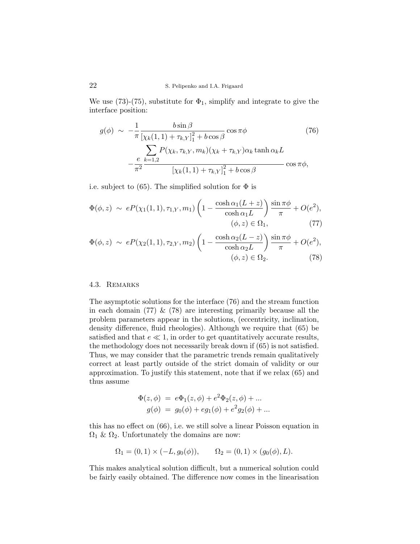We use (73)-(75), substitute for  $\Phi_1$ , simplify and integrate to give the interface position:

$$
g(\phi) \sim -\frac{1}{\pi} \frac{b \sin \beta}{\left[\chi_k(1,1) + \tau_{k,Y}\right]_1^2 + b \cos \beta} \cos \pi \phi
$$
 (76)  

$$
- \frac{e}{\pi^2} \frac{\sum_{k=1,2} P(\chi_k, \tau_{k,Y}, m_k)(\chi_k + \tau_{k,Y}) \alpha_k \tanh \alpha_k L}{\left[\chi_k(1,1) + \tau_{k,Y}\right]_1^2 + b \cos \beta} \cos \pi \phi,
$$

i.e. subject to (65). The simplified solution for  $\Phi$  is

$$
\Phi(\phi, z) \sim eP(\chi_1(1, 1), \tau_{1, Y}, m_1) \left(1 - \frac{\cosh \alpha_1(L+z)}{\cosh \alpha_1 L}\right) \frac{\sin \pi \phi}{\pi} + O(e^2),
$$
  

$$
(\phi, z) \in \Omega_1,
$$
 (77)

$$
\Phi(\phi, z) \sim eP(\chi_2(1, 1), \tau_{2, Y}, m_2) \left(1 - \frac{\cosh \alpha_2 (L - z)}{\cosh \alpha_2 L}\right) \frac{\sin \pi \phi}{\pi} + O(e^2),
$$
  

$$
(\phi, z) \in \Omega_2.
$$
 (78)

## 4.3. Remarks

The asymptotic solutions for the interface (76) and the stream function in each domain  $(77) \& (78)$  are interesting primarily because all the problem parameters appear in the solutions, (eccentricity, inclination, density difference, fluid rheologies). Although we require that (65) be satisfied and that  $e \ll 1$ , in order to get quantitatively accurate results, the methodology does not necessarily break down if (65) is not satisfied. Thus, we may consider that the parametric trends remain qualitatively correct at least partly outside of the strict domain of validity or our approximation. To justify this statement, note that if we relax (65) and thus assume

$$
\Phi(z, \phi) = e\Phi_1(z, \phi) + e^2 \Phi_2(z, \phi) + ... g(\phi) = g_0(\phi) + eg_1(\phi) + e^2 g_2(\phi) + ...
$$

this has no effect on (66), i.e. we still solve a linear Poisson equation in  $\Omega_1$  &  $\Omega_2$ . Unfortunately the domains are now:

$$
\Omega_1 = (0,1) \times (-L, g_0(\phi)), \qquad \Omega_2 = (0,1) \times (g_0(\phi), L).
$$

This makes analytical solution difficult, but a numerical solution could be fairly easily obtained. The difference now comes in the linearisation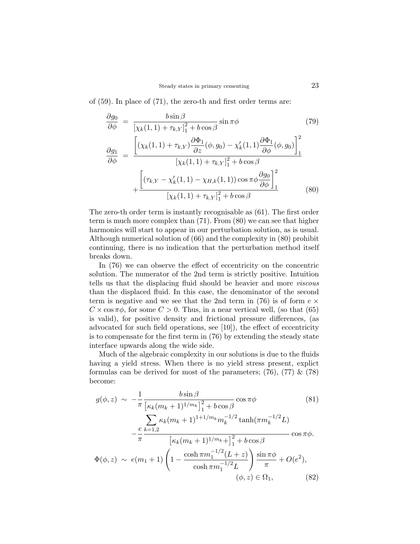of (59). In place of (71), the zero-th and first order terms are:

$$
\frac{\partial g_{0}}{\partial \phi} = \frac{b \sin \beta}{\left[\chi_{k}(1,1) + \tau_{k,Y}\right]_{1}^{2} + b \cos \beta} \sin \pi \phi
$$
(79)  

$$
\frac{\partial g_{1}}{\partial \phi} = \frac{\left[\left(\chi_{k}(1,1) + \tau_{k,Y}\right) \frac{\partial \Phi_{1}}{\partial z}(\phi, g_{0}) - \chi'_{k}(1,1) \frac{\partial \Phi_{1}}{\partial \phi}(\phi, g_{0})\right]_{1}^{2}}{\left[\chi_{k}(1,1) + \tau_{k,Y}\right]_{1}^{2} + b \cos \beta}
$$

$$
+ \frac{\left[\left(\tau_{k,Y} - \chi'_{k}(1,1) - \chi_{H,k}(1,1)\right) \cos \pi \phi \frac{\partial g_{0}}{\partial \phi}\right]_{1}^{2}}{\left[\chi_{k}(1,1) + \tau_{k,Y}\right]_{1}^{2} + b \cos \beta}
$$
(80)

The zero-th order term is instantly recognisable as (61). The first order term is much more complex than (71). From (80) we can see that higher harmonics will start to appear in our perturbation solution, as is usual. Although numerical solution of (66) and the complexity in (80) prohibit continuing, there is no indication that the perturbation method itself breaks down.

In (76) we can observe the effect of eccentricity on the concentric solution. The numerator of the 2nd term is strictly positive. Intuition tells us that the displacing fluid should be heavier and more *viscous* than the displaced fluid. In this case, the denominator of the second term is negative and we see that the 2nd term in (76) is of form  $e \times$  $C \times \cos \pi \phi$ , for some  $C > 0$ . Thus, in a near vertical well, (so that (65) is valid), for positive density and frictional pressure differences, (as advocated for such field operations, see [10]), the effect of eccentricity is to compensate for the first term in (76) by extending the steady state interface upwards along the wide side.

Much of the algebraic complexity in our solutions is due to the fluids having a yield stress. When there is no yield stress present, explict formulas can be derived for most of the parameters;  $(76)$ ,  $(77)$  &  $(78)$ become:

$$
g(\phi, z) \sim -\frac{1}{\pi} \frac{b \sin \beta}{\left[\kappa_k (m_k + 1)^{1/m_k}\right]_1^2 + b \cos \beta} \cos \pi \phi
$$
(81)  

$$
-\frac{e}{\pi} \frac{\sum_{k=1,2} \kappa_k (m_k + 1)^{1+1/m_k} m_k^{-1/2} \tanh(\pi m_k^{-1/2} L)}{\left[\kappa_k (m_k + 1)^{1/m_k} + \int_1^2 + b \cos \beta\right]} \cos \pi \phi.
$$

$$
\Phi(\phi, z) \sim e(m_1 + 1) \left(1 - \frac{\cosh \pi m_1^{-1/2} (L + z)}{\cosh \pi m_1^{-1/2} L}\right) \frac{\sin \pi \phi}{\pi} + O(e^2),
$$

$$
(\phi, z) \in \Omega_1,
$$
(82)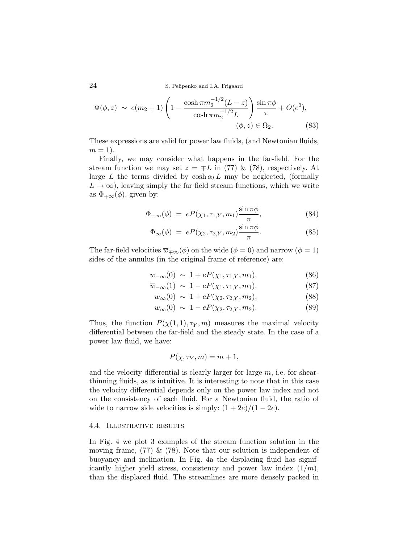$$
\Phi(\phi, z) \sim e(m_2 + 1) \left( 1 - \frac{\cosh \pi m_2^{-1/2} (L - z)}{\cosh \pi m_2^{-1/2} L} \right) \frac{\sin \pi \phi}{\pi} + O(e^2),
$$
  

$$
(\phi, z) \in \Omega_2.
$$
 (83)

These expressions are valid for power law fluids, (and Newtonian fluids,  $m=1$ ).

Finally, we may consider what happens in the far-field. For the stream function we may set  $z = \pm L$  in (77) & (78), respectively. At large L the terms divided by  $\cosh \alpha_k L$  may be neglected, (formally  $L \to \infty$ ), leaving simply the far field stream functions, which we write as  $\Phi_{\pm\infty}(\phi)$ , given by:

$$
\Phi_{-\infty}(\phi) = eP(\chi_1, \tau_{1,Y}, m_1) \frac{\sin \pi \phi}{\pi}, \qquad (84)
$$

$$
\Phi_{\infty}(\phi) = eP(\chi_2, \tau_{2,Y}, m_2) \frac{\sin \pi \phi}{\pi}.
$$
\n(85)

The far-field velocities  $\overline{w}_{\mp\infty}(\phi)$  on the wide  $(\phi = 0)$  and narrow  $(\phi = 1)$ sides of the annulus (in the original frame of reference) are:

$$
\overline{w}_{-\infty}(0) \sim 1 + eP(\chi_1, \tau_{1,Y}, m_1), \tag{86}
$$

$$
\overline{w}_{-\infty}(1) \sim 1 - eP(\chi_1, \tau_{1,Y}, m_1), \tag{87}
$$

$$
\overline{w}_{\infty}(0) \sim 1 + eP(\chi_2, \tau_{2,Y}, m_2), \tag{88}
$$

$$
\overline{w}_{\infty}(0) \sim 1 - eP(\chi_2, \tau_{2,Y}, m_2). \tag{89}
$$

Thus, the function  $P(\chi(1,1), \tau_Y, m)$  measures the maximal velocity differential between the far-field and the steady state. In the case of a power law fluid, we have:

$$
P(\chi, \tau_Y, m) = m + 1,
$$

and the velocity differential is clearly larger for large  $m$ , i.e. for shearthinning fluids, as is intuitive. It is interesting to note that in this case the velocity differential depends only on the power law index and not on the consistency of each fluid. For a Newtonian fluid, the ratio of wide to narrow side velocities is simply:  $(1+2e)/(1-2e)$ .

### 4.4. Illustrative results

In Fig. 4 we plot 3 examples of the stream function solution in the moving frame,  $(77) \& (78)$ . Note that our solution is independent of buoyancy and inclination. In Fig. 4a the displacing fluid has significantly higher yield stress, consistency and power law index  $(1/m)$ , than the displaced fluid. The streamlines are more densely packed in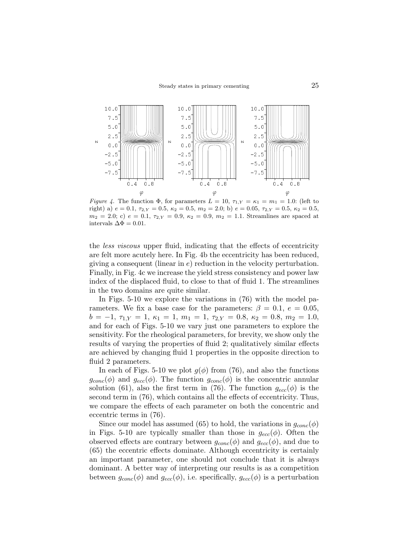

Figure 4. The function  $\Phi$ , for parameters  $L = 10$ ,  $\tau_{1,Y} = \kappa_1 = m_1 = 1.0$ : (left to right) a)  $e = 0.1$ ,  $\tau_{2,Y} = 0.5$ ,  $\kappa_2 = 0.5$ ,  $m_2 = 2.0$ ; b)  $e = 0.05$ ,  $\tau_{2,Y} = 0.5$ ,  $\kappa_2 = 0.5$ ,  $m_2 = 2.0$ ; c)  $e = 0.1$ ,  $\tau_{2,Y} = 0.9$ ,  $\kappa_2 = 0.9$ ,  $m_2 = 1.1$ . Streamlines are spaced at intervals  $\Delta \Phi = 0.01$ .

the less viscous upper fluid, indicating that the effects of eccentricity are felt more acutely here. In Fig. 4b the eccentricity has been reduced, giving a consequent (linear in  $e$ ) reduction in the velocity perturbation. Finally, in Fig. 4c we increase the yield stress consistency and power law index of the displaced fluid, to close to that of fluid 1. The streamlines in the two domains are quite similar.

In Figs. 5-10 we explore the variations in (76) with the model parameters. We fix a base case for the parameters:  $\beta = 0.1, e = 0.05$ ,  $b = -1, \tau_{1,Y} = 1, \kappa_1 = 1, m_1 = 1, \tau_{2,Y} = 0.8, \kappa_2 = 0.8, m_2 = 1.0,$ and for each of Figs. 5-10 we vary just one parameters to explore the sensitivity. For the rheological parameters, for brevity, we show only the results of varying the properties of fluid 2; qualitatively similar effects are achieved by changing fluid 1 properties in the opposite direction to fluid 2 parameters.

In each of Figs. 5-10 we plot  $g(\phi)$  from (76), and also the functions  $g_{conc}(\phi)$  and  $g_{ecc}(\phi)$ . The function  $g_{conc}(\phi)$  is the concentric annular solution (61), also the first term in (76). The function  $g_{ecc}(\phi)$  is the second term in (76), which contains all the effects of eccentricity. Thus, we compare the effects of each parameter on both the concentric and eccentric terms in (76).

Since our model has assumed (65) to hold, the variations in  $g_{conc}(\phi)$ in Figs. 5-10 are typically smaller than those in  $g_{ecc}(\phi)$ . Often the observed effects are contrary between  $g_{conc}(\phi)$  and  $g_{ecc}(\phi)$ , and due to (65) the eccentric effects dominate. Although eccentricity is certainly an important parameter, one should not conclude that it is always dominant. A better way of interpreting our results is as a competition between  $g_{conc}(\phi)$  and  $g_{ecc}(\phi)$ , i.e. specifically,  $g_{ecc}(\phi)$  is a perturbation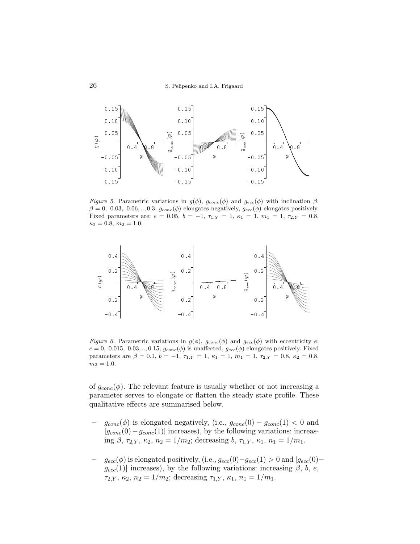

Figure 5. Parametric variations in  $g(\phi)$ ,  $g_{conc}(\phi)$  and  $g_{ecc}(\phi)$  with inclination  $\beta$ :  $\beta = 0, 0.03, 0.06, ..., 0.3; g_{conc}(\phi)$  elongates negatively,  $g_{ecc}(\phi)$  elongates positively. Fixed parameters are:  $e = 0.05$ ,  $b = -1$ ,  $\tau_{1,Y} = 1$ ,  $\kappa_1 = 1$ ,  $m_1 = 1$ ,  $\tau_{2,Y} = 0.8$ ,  $\kappa_2 = 0.8, m_2 = 1.0.$ 



Figure 6. Parametric variations in  $g(\phi)$ ,  $g_{conc}(\phi)$  and  $g_{ecc}(\phi)$  with eccentricity e:  $e = 0, 0.015, 0.03, \ldots, 0.15; g_{conc}(\phi)$  is unaffected,  $g_{ecc}(\phi)$  elongates positively. Fixed parameters are  $\beta = 0.1$ ,  $b = -1$ ,  $\tau_{1,Y} = 1$ ,  $\kappa_1 = 1$ ,  $m_1 = 1$ ,  $\tau_{2,Y} = 0.8$ ,  $\kappa_2 = 0.8$ ,  $m_2 = 1.0.$ 

of  $g_{conc}(\phi)$ . The relevant feature is usually whether or not increasing a parameter serves to elongate or flatten the steady state profile. These qualitative effects are summarised below.

- $g_{conc}(\phi)$  is elongated negatively, (i.e.,  $g_{conc}(0) g_{conc}(1) < 0$  and  $|g_{conc}(0)-g_{conc}(1)|$  increases), by the following variations: increasing  $\beta$ ,  $\tau_{2,Y}$ ,  $\kappa_2$ ,  $n_2 = 1/m_2$ ; decreasing  $b$ ,  $\tau_{1,Y}$ ,  $\kappa_1$ ,  $n_1 = 1/m_1$ .
- −  $g_{ecc}(\phi)$  is elongated positively, (i.e.,  $g_{ecc}(0) g_{ecc}(1) > 0$  and  $|g_{ecc}(0)$  $g_{ecc}(1)$  increases), by the following variations: increasing  $\beta$ , b, e,  $\tau_{2,Y}, \kappa_2, n_2 = 1/m_2$ ; decreasing  $\tau_{1,Y}, \kappa_1, n_1 = 1/m_1$ .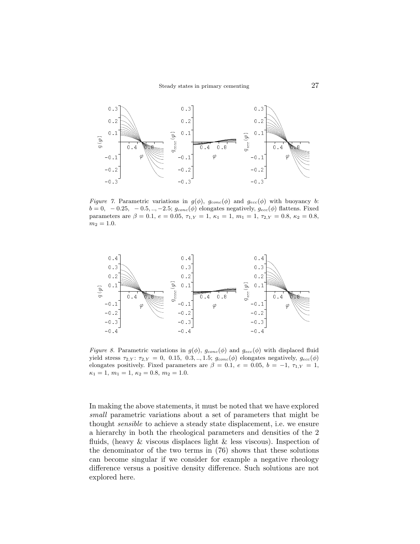

Figure 7. Parametric variations in  $g(\phi)$ ,  $g_{conc}(\phi)$  and  $g_{ecc}(\phi)$  with buoyancy b:  $b = 0, -0.25, -0.5, ..., -2.5; g_{conc}(\phi)$  elongates negatively,  $g_{ecc}(\phi)$  flattens. Fixed parameters are  $\beta = 0.1$ ,  $e = 0.05$ ,  $\tau_{1,Y} = 1$ ,  $\kappa_1 = 1$ ,  $m_1 = 1$ ,  $\tau_{2,Y} = 0.8$ ,  $\kappa_2 = 0.8$ ,  $m_2 = 1.0.$ 



Figure 8. Parametric variations in  $g(\phi)$ ,  $g_{conc}(\phi)$  and  $g_{ecc}(\phi)$  with displaced fluid yield stress  $\tau_{2,Y}$ :  $\tau_{2,Y} = 0$ , 0.15, 0.3, .., 1.5;  $g_{conc}(\phi)$  elongates negatively,  $g_{ecc}(\phi)$ elongates positively. Fixed parameters are  $\beta = 0.1, e = 0.05, b = -1, \tau_{1,Y} = 1$ ,  $\kappa_1 = 1, m_1 = 1, \, \kappa_2 = 0.8, m_2 = 1.0.$ 

In making the above statements, it must be noted that we have explored small parametric variations about a set of parameters that might be thought *sensible* to achieve a steady state displacement, i.e. we ensure a hierarchy in both the rheological parameters and densities of the 2 fluids, (heavy  $\&$  viscous displaces light  $\&$  less viscous). Inspection of the denominator of the two terms in (76) shows that these solutions can become singular if we consider for example a negative rheology difference versus a positive density difference. Such solutions are not explored here.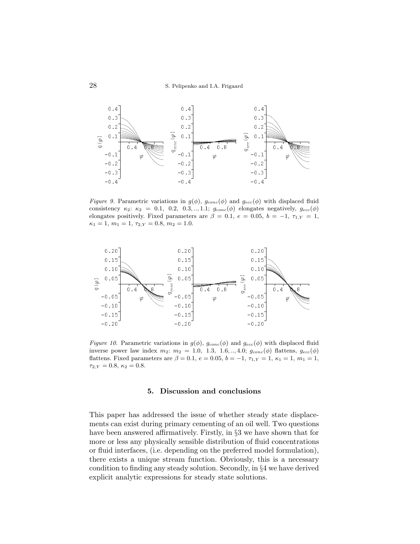

Figure 9. Parametric variations in  $g(\phi)$ ,  $g_{conc}(\phi)$  and  $g_{ecc}(\phi)$  with displaced fluid consistency  $\kappa_2$ :  $\kappa_2$  = 0.1, 0.2, 0.3, .., 1.1;  $g_{conc}(\phi)$  elongates negatively,  $g_{ecc}(\phi)$ elongates positively. Fixed parameters are  $\beta = 0.1, e = 0.05, b = -1, \tau_{1,Y} = 1$ ,  $\kappa_1 = 1, m_1 = 1, \tau_{2,Y} = 0.8, m_2 = 1.0.$ 



Figure 10. Parametric variations in  $g(\phi)$ ,  $g_{conc}(\phi)$  and  $g_{ecc}(\phi)$  with displaced fluid inverse power law index  $m_2$ :  $m_2 = 1.0, 1.3, 1.6, \ldots, 4.0; g_{conc}(\phi)$  flattens,  $g_{ecc}(\phi)$ flattens. Fixed parameters are  $\beta = 0.1, e = 0.05, b = -1, \tau_{1,Y} = 1, \kappa_1 = 1, m_1 = 1,$  $\tau_{2,Y} = 0.8, \, \kappa_2 = 0.8.$ 

#### 5. Discussion and conclusions

This paper has addressed the issue of whether steady state displacements can exist during primary cementing of an oil well. Two questions have been answered affirmatively. Firstly, in §3 we have shown that for more or less any physically sensible distribution of fluid concentrations or fluid interfaces, (i.e. depending on the preferred model formulation), there exists a unique stream function. Obviously, this is a necessary condition to finding any steady solution. Secondly, in §4 we have derived explicit analytic expressions for steady state solutions.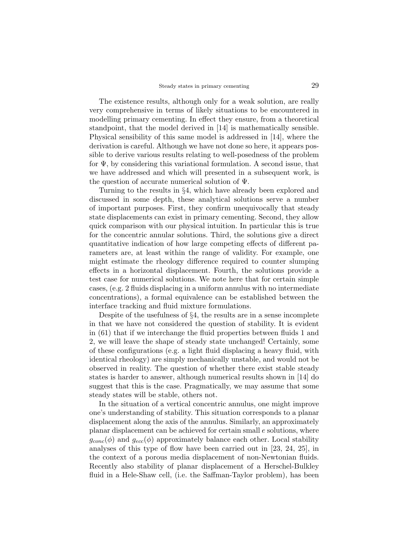The existence results, although only for a weak solution, are really very comprehensive in terms of likely situations to be encountered in modelling primary cementing. In effect they ensure, from a theoretical standpoint, that the model derived in [14] is mathematically sensible. Physical sensibility of this same model is addressed in [14], where the derivation is careful. Although we have not done so here, it appears possible to derive various results relating to well-posedness of the problem for  $\Psi$ , by considering this variational formulation. A second issue, that we have addressed and which will presented in a subsequent work, is the question of accurate numerical solution of  $\Psi$ .

Turning to the results in §4, which have already been explored and discussed in some depth, these analytical solutions serve a number of important purposes. First, they confirm unequivocally that steady state displacements can exist in primary cementing. Second, they allow quick comparison with our physical intuition. In particular this is true for the concentric annular solutions. Third, the solutions give a direct quantitative indication of how large competing effects of different parameters are, at least within the range of validity. For example, one might estimate the rheology difference required to counter slumping effects in a horizontal displacement. Fourth, the solutions provide a test case for numerical solutions. We note here that for certain simple cases, (e.g. 2 fluids displacing in a uniform annulus with no intermediate concentrations), a formal equivalence can be established between the interface tracking and fluid mixture formulations.

Despite of the usefulness of §4, the results are in a sense incomplete in that we have not considered the question of stability. It is evident in (61) that if we interchange the fluid properties between fluids 1 and 2, we will leave the shape of steady state unchanged! Certainly, some of these configurations (e.g. a light fluid displacing a heavy fluid, with identical rheology) are simply mechanically unstable, and would not be observed in reality. The question of whether there exist stable steady states is harder to answer, although numerical results shown in [14] do suggest that this is the case. Pragmatically, we may assume that some steady states will be stable, others not.

In the situation of a vertical concentric annulus, one might improve one's understanding of stability. This situation corresponds to a planar displacement along the axis of the annulus. Similarly, an approximately planar displacement can be achieved for certain small e solutions, where  $g_{conc}(\phi)$  and  $g_{ecc}(\phi)$  approximately balance each other. Local stability analyses of this type of flow have been carried out in [23, 24, 25], in the context of a porous media displacement of non-Newtonian fluids. Recently also stability of planar displacement of a Herschel-Bulkley fluid in a Hele-Shaw cell, (i.e. the Saffman-Taylor problem), has been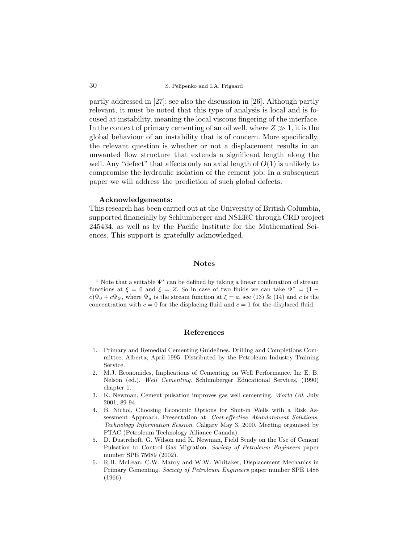partly addressed in [27]; see also the discussion in [26]. Although partly relevant, it must be noted that this type of analysis is local and is focused at instability, meaning the local viscous fingering of the interface. In the context of primary cementing of an oil well, where  $Z \gg 1$ , it is the global behaviour of an instability that is of concern. More specifically, the relevant question is whether or not a displacement results in an unwanted flow structure that extends a significant length along the well. Any "defect" that affects only an axial length of  $O(1)$  is unlikely to compromise the hydraulic isolation of the cement job. In a subsequent paper we will address the prediction of such global defects.

## Acknowledgements:

This research has been carried out at the University of British Columbia, supported financially by Schlumberger and NSERC through CRD project 245434, as well as by the Pacific Institute for the Mathematical Sciences. This support is gratefully acknowledged.

## Notes

<sup>1</sup> Note that a suitable  $\Psi^*$  can be defined by taking a linear combination of stream functions at  $\xi = 0$  and  $\xi = Z$ . So in case of two fluids we can take  $\Psi^* = (1$  $c\Psi_0 + c\Psi_Z$ , where  $\Psi_a$  is the stream function at  $\xi = a$ , see (13) & (14) and c is the concentration with  $c = 0$  for the displacing fluid and  $c = 1$  for the displaced fluid.

## References

- 1. Primary and Remedial Cementing Guidelines. Drilling and Completions Committee, Alberta, April 1995. Distributed by the Petroleum Industry Training Service.
- 2. M.J. Economides, Implications of Cementing on Well Performance. In: E. B. Nelson (ed.), Well Cementing. Schlumberger Educational Services, (1990) chapter 1.
- 3. K. Newman, Cement pulsation improves gas well cementing. World Oil, July 2001, 89-94.
- 4. B. Nichol, Choosing Economic Options for Shut-in Wells with a Risk Assessment Approach. Presentation at: Cost-effective Abandonment Solutions, Technology Information Session, Calgary May 3, 2000. Meeting organised by PTAC (Petroleum Technology Alliance Canada).
- 5. D. Dustrehoft, G. Wilson and K. Newman, Field Study on the Use of Cement Pulsation to Control Gas Migration. Society of Petroleum Engineers paper number SPE 75689 (2002).
- 6. R.H. McLean, C.W. Manry and W.W. Whitaker, Displacement Mechanics in Primary Cementing. Society of Petroleum Engineers paper number SPE 1488 (1966).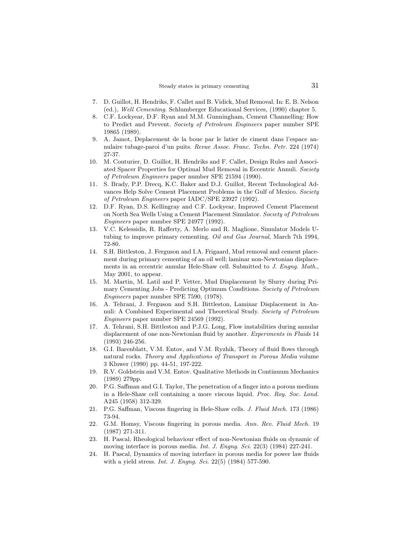- 7. D. Guillot, H. Hendriks, F. Callet and B. Vidick, Mud Removal. In: E. B. Nelson (ed.), Well Cementing. Schlumberger Educational Services, (1990) chapter 5.
- 8. C.F. Lockyear, D.F. Ryan and M.M. Gunningham, Cement Channelling: How to Predict and Prevent. Society of Petroleum Engineers paper number SPE 19865 (1989).
- 9. A. Jamot, Deplacement de la boue par le latier de ciment dans l'espace annulaire tubage-paroi d'un puits. Revue Assoc. Franc. Techn. Petr. 224 (1974) 27-37.
- 10. M. Couturier, D. Guillot, H. Hendriks and F. Callet, Design Rules and Associated Spacer Properties for Optimal Mud Removal in Eccentric Annuli. Society of Petroleum Engineers paper number SPE 21594 (1990).
- 11. S. Brady, P.P. Drecq, K.C. Baker and D.J. Guillot, Recent Technological Advances Help Solve Cement Placement Problems in the Gulf of Mexico. Society of Petroleum Engineers paper IADC/SPE 23927 (1992).
- 12. D.F. Ryan, D.S. Kellingray and C.F. Lockyear, Improved Cement Placement on North Sea Wells Using a Cement Placement Simulator. Society of Petroleum Engineers paper number SPE 24977 (1992).
- 13. V.C. Kelessidis, R. Rafferty, A. Merlo and R. Maglione, Simulator Models Utubing to improve primary cementing. Oil and Gas Journal, March 7th 1994, 72-80.
- 14. S.H. Bittleston, J. Ferguson and I.A. Frigaard, Mud removal and cement placement during primary cementing of an oil well; laminar non-Newtonian displacements in an eccentric annular Hele-Shaw cell. Submitted to J. Engng. Math., May 2001, to appear.
- 15. M. Martin, M. Latil and P. Vetter, Mud Displacement by Slurry during Primary Cementing Jobs - Predicting Optimum Conditions. Society of Petroleum Engineers paper number SPE 7590, (1978).
- 16. A. Tehrani, J. Ferguson and S.H. Bittleston, Laminar Displacement in Annuli: A Combined Experimental and Theoretical Study. Society of Petroleum Engineers paper number SPE 24569 (1992).
- 17. A. Tehrani, S.H. Bittleston and P.J.G. Long, Flow instabilities during annular displacement of one non-Newtonian fluid by another. Experiments in Fluids 14 (1993) 246-256.
- 18. G.I. Barenblatt, V.M. Entov, and V.M. Ryzhik, Theory of fluid flows through natural rocks. Theory and Applications of Transport in Porous Media volume 3 Kluwer (1990) pp. 44-51, 197-222.
- 19. R.V. Goldstein and V.M. Entov. Qualitative Methods in Continuum Mechanics (1989) 279pp.
- 20. P.G. Saffman and G.I. Taylor, The penetration of a finger into a porous medium in a Hele-Shaw cell containing a more viscous liquid. Proc. Roy. Soc. Lond. A245 (1958) 312-329.
- 21. P.G. Saffman, Viscous fingering in Hele-Shaw cells. J. Fluid Mech. 173 (1986) 73-94.
- 22. G.M. Homsy, Viscous fingering in porous media. Ann. Rev. Fluid Mech. 19 (1987) 271-311.
- 23. H. Pascal, Rheological behaviour effect of non-Newtonian fluids on dynamic of moving interface in porous media. Int. J. Engng. Sci. 22(3) (1984) 227-241.
- 24. H. Pascal, Dynamics of moving interface in porous media for power law fluids with a yield stress. *Int. J. Engng. Sci.* 22(5) (1984) 577-590.